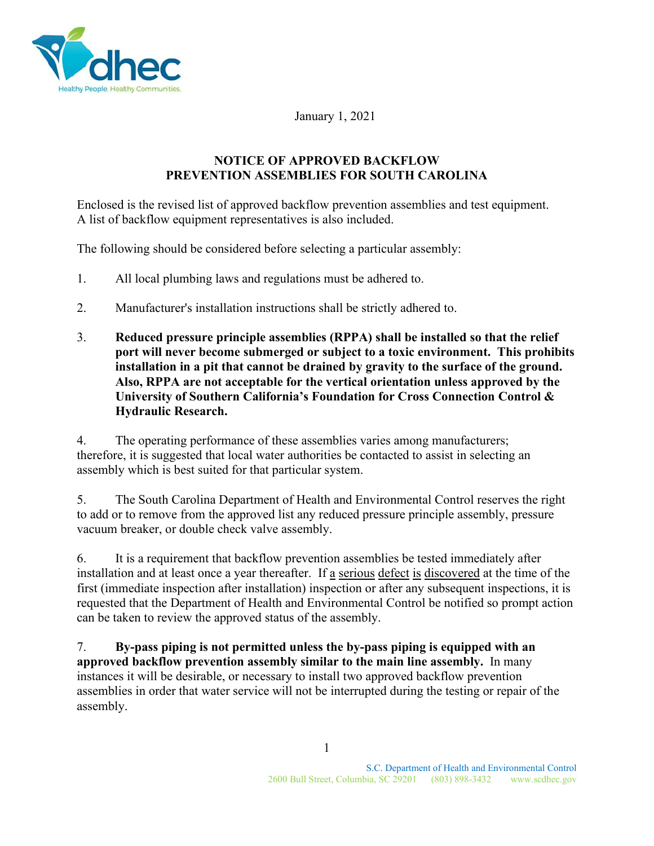

January 1, 2021

## **NOTICE OF APPROVED BACKFLOW PREVENTION ASSEMBLIES FOR SOUTH CAROLINA**

Enclosed is the revised list of approved backflow prevention assemblies and test equipment. A list of backflow equipment representatives is also included.

The following should be considered before selecting a particular assembly:

- 1. All local plumbing laws and regulations must be adhered to.
- 2. Manufacturer's installation instructions shall be strictly adhered to.
- 3. **Reduced pressure principle assemblies (RPPA) shall be installed so that the relief port will never become submerged or subject to a toxic environment. This prohibits installation in a pit that cannot be drained by gravity to the surface of the ground. Also, RPPA are not acceptable for the vertical orientation unless approved by the University of Southern California's Foundation for Cross Connection Control & Hydraulic Research.**

4. The operating performance of these assemblies varies among manufacturers; therefore, it is suggested that local water authorities be contacted to assist in selecting an assembly which is best suited for that particular system.

5. The South Carolina Department of Health and Environmental Control reserves the right to add or to remove from the approved list any reduced pressure principle assembly, pressure vacuum breaker, or double check valve assembly.

6. It is a requirement that backflow prevention assemblies be tested immediately after installation and at least once a year thereafter. If a serious defect is discovered at the time of the first (immediate inspection after installation) inspection or after any subsequent inspections, it is requested that the Department of Health and Environmental Control be notified so prompt action can be taken to review the approved status of the assembly.

7. **By-pass piping is not permitted unless the by-pass piping is equipped with an approved backflow prevention assembly similar to the main line assembly.** In many instances it will be desirable, or necessary to install two approved backflow prevention assemblies in order that water service will not be interrupted during the testing or repair of the assembly.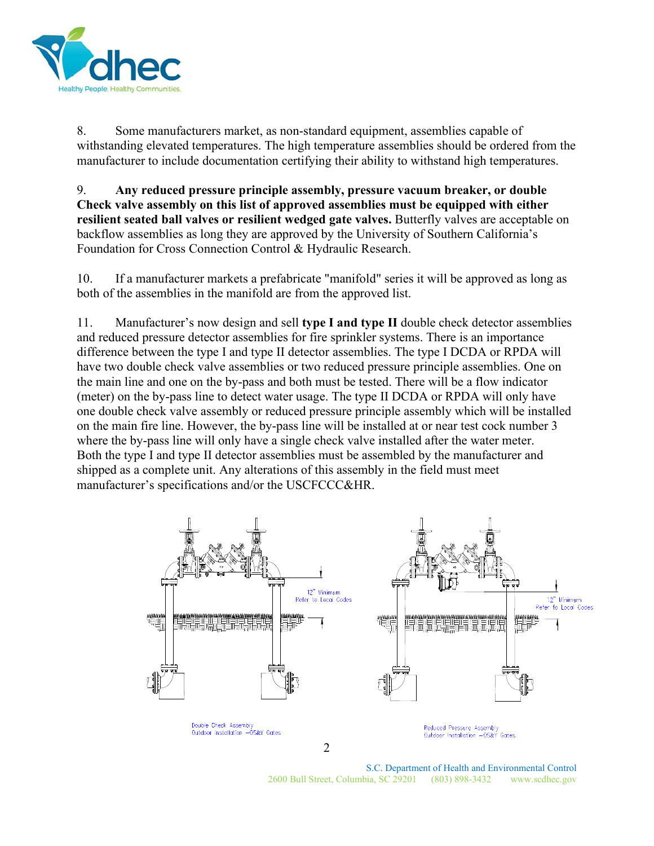

8. Some manufacturers market, as non-standard equipment, assemblies capable of withstanding elevated temperatures. The high temperature assemblies should be ordered from the manufacturer to include documentation certifying their ability to withstand high temperatures.

9. **Any reduced pressure principle assembly, pressure vacuum breaker, or double Check valve assembly on this list of approved assemblies must be equipped with either resilient seated ball valves or resilient wedged gate valves.** Butterfly valves are acceptable on backflow assemblies as long they are approved by the University of Southern California's Foundation for Cross Connection Control & Hydraulic Research.

10. If a manufacturer markets a prefabricate "manifold" series it will be approved as long as both of the assemblies in the manifold are from the approved list.

11. Manufacturer's now design and sell **type I and type II** double check detector assemblies and reduced pressure detector assemblies for fire sprinkler systems. There is an importance difference between the type I and type II detector assemblies. The type I DCDA or RPDA will have two double check valve assemblies or two reduced pressure principle assemblies. One on the main line and one on the by-pass and both must be tested. There will be a flow indicator (meter) on the by-pass line to detect water usage. The type II DCDA or RPDA will only have one double check valve assembly or reduced pressure principle assembly which will be installed on the main fire line. However, the by-pass line will be installed at or near test cock number 3 where the by-pass line will only have a single check valve installed after the water meter. Both the type I and type II detector assemblies must be assembled by the manufacturer and shipped as a complete unit. Any alterations of this assembly in the field must meet manufacturer's specifications and/or the USCFCCC&HR.



S.C. Department of Health and Environmental Control 2600 Bull Street, Columbia, SC 29201 (803) 898-3432 www.scdhec.gov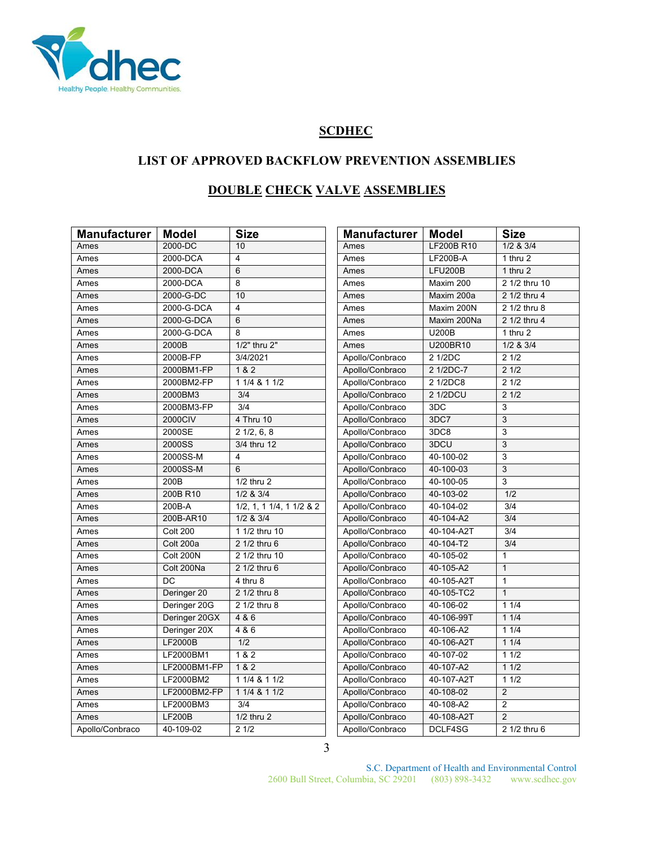

# **SCDHEC**

# **LIST OF APPROVED BACKFLOW PREVENTION ASSEMBLIES**

# **DOUBLE CHECK VALVE ASSEMBLIES**

| <b>Manufacturer</b> | <b>Model</b>    | <b>Size</b>                      | <b>Manufacturer</b> | <b>Model</b>      | <b>Size</b>    |
|---------------------|-----------------|----------------------------------|---------------------|-------------------|----------------|
| Ames                | 2000-DC         | 10                               | Ames                | <b>LF200B R10</b> | $1/2$ & $3/4$  |
| Ames                | 2000-DCA        | $\overline{4}$                   | Ames                | LF200B-A          | 1 thru $2$     |
| Ames                | 2000-DCA        | 6                                | Ames                | <b>LFU200B</b>    | $1$ thru $2$   |
| Ames                | 2000-DCA        | 8                                | Ames                | Maxim 200         | 2 1/2 thru 10  |
| Ames                | 2000-G-DC       | 10                               | Ames                | Maxim 200a        | 2 1/2 thru 4   |
| Ames                | 2000-G-DCA      | $\overline{4}$                   | Ames                | Maxim 200N        | 2 1/2 thru 8   |
| Ames                | 2000-G-DCA      | 6                                | Ames                | Maxim 200Na       | 2 1/2 thru 4   |
| Ames                | 2000-G-DCA      | 8                                | Ames                | <b>U200B</b>      | 1 thru 2       |
| Ames                | 2000B           | 1/2" thru 2"                     | Ames                | U200BR10          | $1/2$ & $3/4$  |
| Ames                | 2000B-FP        | 3/4/2021                         | Apollo/Conbraco     | 2 1/2DC           | 21/2           |
| Ames                | 2000BM1-FP      | 1 & 2                            | Apollo/Conbraco     | 2 1/2DC-7         | 21/2           |
| Ames                | 2000BM2-FP      | 1 1/4 & 1 1/2                    | Apollo/Conbraco     | 2 1/2DC8          | 21/2           |
| Ames                | 2000BM3         | 3/4                              | Apollo/Conbraco     | 2 1/2DCU          | 21/2           |
| Ames                | 2000BM3-FP      | 3/4                              | Apollo/Conbraco     | 3DC               | 3              |
| Ames                | 2000CIV         | 4 Thru 10                        | Apollo/Conbraco     | 3DC7              | $\overline{3}$ |
| Ames                | 2000SE          | $2\frac{1}{2}, 6, 8$             | Apollo/Conbraco     | 3DC8              | 3              |
| Ames                | 2000SS          | 3/4 thru 12                      | Apollo/Conbraco     | 3DCU              | $\overline{3}$ |
| Ames                | 2000SS-M        | 4                                | Apollo/Conbraco     | 40-100-02         | 3              |
| Ames                | 2000SS-M        | 6                                | Apollo/Conbraco     | 40-100-03         | 3              |
| Ames                | 200B            | $1/2$ thru 2                     | Apollo/Conbraco     | 40-100-05         | 3              |
| Ames                | 200B R10        | 1/2 & 3/4                        | Apollo/Conbraco     | 40-103-02         | 1/2            |
| Ames                | 200B-A          | $1/2$ , 1, 1 $1/4$ , 1 $1/2$ & 2 | Apollo/Conbraco     | 40-104-02         | 3/4            |
| Ames                | 200B-AR10       | $1/2$ & $3/4$                    | Apollo/Conbraco     | 40-104-A2         | 3/4            |
| Ames                | <b>Colt 200</b> | 1 1/2 thru 10                    | Apollo/Conbraco     | 40-104-A2T        | 3/4            |
| Ames                | Colt 200a       | 2 1/2 thru 6                     | Apollo/Conbraco     | 40-104-T2         | 3/4            |
| Ames                | Colt 200N       | 2 1/2 thru 10                    | Apollo/Conbraco     | 40-105-02         | 1              |
| Ames                | Colt 200Na      | 2 1/2 thru 6                     | Apollo/Conbraco     | 40-105-A2         | $\mathbf{1}$   |
| Ames                | DC              | 4 thru 8                         | Apollo/Conbraco     | 40-105-A2T        | $\mathbf{1}$   |
| Ames                | Deringer 20     | 2 1/2 thru 8                     | Apollo/Conbraco     | 40-105-TC2        | $\overline{1}$ |
| Ames                | Deringer 20G    | 2 1/2 thru 8                     | Apollo/Conbraco     | 40-106-02         | 11/4           |
| Ames                | Deringer 20GX   | 4 & 6                            | Apollo/Conbraco     | 40-106-99T        | 11/4           |
| Ames                | Deringer 20X    | 4 & 6                            | Apollo/Conbraco     | 40-106-A2         | 11/4           |
| Ames                | LF2000B         | 1/2                              | Apollo/Conbraco     | 40-106-A2T        | 11/4           |
| Ames                | LF2000BM1       | 1 & 2                            | Apollo/Conbraco     | 40-107-02         | 11/2           |
| Ames                | LF2000BM1-FP    | 1 & 2                            | Apollo/Conbraco     | 40-107-A2         | 11/2           |
| Ames                | LF2000BM2       | 1 1/4 & 1 1/2                    | Apollo/Conbraco     | 40-107-A2T        | 11/2           |
| Ames                | LF2000BM2-FP    | 1 1/4 & 1 1/2                    | Apollo/Conbraco     | 40-108-02         | $\overline{2}$ |
| Ames                | LF2000BM3       | $\overline{3/4}$                 | Apollo/Conbraco     | 40-108-A2         | $\overline{2}$ |
| Ames                | <b>LF200B</b>   | $1/2$ thru $2$                   | Apollo/Conbraco     | 40-108-A2T        | $\overline{2}$ |
| Apollo/Conbraco     | 40-109-02       | 21/2                             | Apollo/Conbraco     | DCLF4SG           | 2 1/2 thru 6   |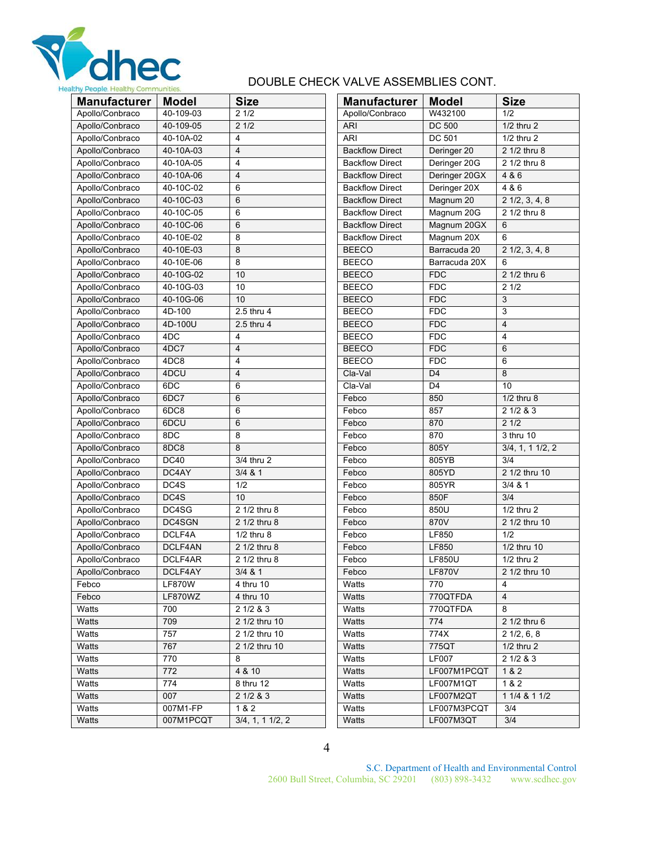

# DOUBLE CHECK VALVE ASSEMBLIES CONT.

| <b>Manufacturer</b> | <b>Model</b>    | <b>Size</b>            | <b>Manufacturer</b>    | <b>Model</b>           | <b>Size</b>             |
|---------------------|-----------------|------------------------|------------------------|------------------------|-------------------------|
| Apollo/Conbraco     | 40-109-03       | 21/2                   | Apollo/Conbraco        | W432100                | 1/2                     |
| Apollo/Conbraco     | 40-109-05       | $2 \frac{1}{2}$        | <b>ARI</b>             | <b>DC 500</b>          | 1/2 thru 2              |
| Apollo/Conbraco     | 40-10A-02       | 4                      | <b>ARI</b>             | DC 501                 | 1/2 thru 2              |
| Apollo/Conbraco     | 40-10A-03       | $\overline{4}$         | <b>Backflow Direct</b> | Deringer <sub>20</sub> | 2 1/2 thru 8            |
| Apollo/Conbraco     | 40-10A-05       | $\overline{4}$         | <b>Backflow Direct</b> | Deringer 20G           | 2 1/2 thru 8            |
| Apollo/Conbraco     | 40-10A-06       | $\overline{4}$         | <b>Backflow Direct</b> | Deringer 20GX          | 4 & 6                   |
| Apollo/Conbraco     | 40-10C-02       | 6                      | <b>Backflow Direct</b> | Deringer 20X           | 486                     |
| Apollo/Conbraco     | 40-10C-03       | 6                      | <b>Backflow Direct</b> | Magnum 20              | $2\frac{1}{2}, 3, 4, 8$ |
| Apollo/Conbraco     | 40-10C-05       | 6                      | <b>Backflow Direct</b> | Magnum 20G             | 2 1/2 thru 8            |
| Apollo/Conbraco     | 40-10C-06       | 6                      | <b>Backflow Direct</b> | Magnum 20GX            | 6                       |
| Apollo/Conbraco     | 40-10E-02       | 8                      | <b>Backflow Direct</b> | Magnum 20X             | 6                       |
| Apollo/Conbraco     | 40-10E-03       | 8                      | <b>BEECO</b>           | Barracuda 20           | $2\ 1/2, 3, 4, 8$       |
| Apollo/Conbraco     | 40-10E-06       | 8                      | <b>BEECO</b>           | Barracuda 20X          | 6                       |
| Apollo/Conbraco     | 40-10G-02       | 10                     | <b>BEECO</b>           | <b>FDC</b>             | 2 1/2 thru 6            |
| Apollo/Conbraco     | 40-10G-03       | 10                     | <b>BEECO</b>           | <b>FDC</b>             | 21/2                    |
| Apollo/Conbraco     | 40-10G-06       | 10                     | <b>BEECO</b>           | <b>FDC</b>             | 3                       |
| Apollo/Conbraco     | 4D-100          | 2.5 thru 4             | <b>BEECO</b>           | <b>FDC</b>             | 3                       |
| Apollo/Conbraco     | 4D-100U         | 2.5 thru 4             | <b>BEECO</b>           | <b>FDC</b>             | $\overline{4}$          |
| Apollo/Conbraco     | 4DC             | 4                      | <b>BEECO</b>           | <b>FDC</b>             | 4                       |
| Apollo/Conbraco     | 4DC7            | $\overline{4}$         | <b>BEECO</b>           | <b>FDC</b>             | 6                       |
| Apollo/Conbraco     | 4DC8            | 4                      | <b>BEECO</b>           | <b>FDC</b>             | 6                       |
| Apollo/Conbraco     | 4DCU            | $\overline{4}$         | Cla-Val                | D <sub>4</sub>         | 8                       |
| Apollo/Conbraco     | 6DC             | 6                      | Cla-Val                | D <sub>4</sub>         | 10                      |
| Apollo/Conbraco     | 6DC7            | 6                      | Febco                  | 850                    | $1/2$ thru $8$          |
| Apollo/Conbraco     | 6DC8            | 6                      | Febco                  | 857                    | 21/283                  |
| Apollo/Conbraco     | 6DCU            | 6                      | Febco                  | 870                    | 21/2                    |
| Apollo/Conbraco     | 8DC             | 8                      | Febco                  | 870                    | 3 thru 10               |
| Apollo/Conbraco     | 8DC8            | 8                      | Febco                  | 805Y                   | $3/4$ , 1, 1 $1/2$ , 2  |
| Apollo/Conbraco     | <b>DC40</b>     | 3/4 thru 2             | Febco                  | 805YB                  | 3/4                     |
| Apollo/Conbraco     | DC4AY           | 3/4 & 81               | Febco                  | 805YD                  | 2 1/2 thru 10           |
| Apollo/Conbraco     | DC4S            | 1/2                    | Febco                  | 805YR                  | $\frac{1}{3}{4}$ & 1    |
| Apollo/Conbraco     | DC4S            | 10                     | Febco                  | 850F                   | 3/4                     |
| Apollo/Conbraco     | DC4SG           | 2 1/2 thru 8           | Febco                  | 850U                   | $1/2$ thru $2$          |
| Apollo/Conbraco     | DC4SGN          | 2 1/2 thru 8           | Febco                  | 870V                   | 2 1/2 thru 10           |
| Apollo/Conbraco     | DCLF4A          | $1/2$ thru $8$         | Febco                  | LF850                  | 1/2                     |
| Apollo/Conbraco     | DCLF4AN         | 2 1/2 thru 8           | Febco                  | LF850                  | 1/2 thru 10             |
| Apollo/Conbraco     | DCLF4AR         | 2 1/2 thru 8           | Febco                  | <b>LF850U</b>          | $1/2$ thru $2$          |
| Apollo/Conbraco     | DCLF4AY         | $3/4$ & 1              | Febco                  | <b>LF870V</b>          | 2 1/2 thru 10           |
| Febco               | <b>LF870W</b>   | 4 thru 10              | Watts                  | 770                    | 4                       |
| Febco               | LF870WZ         | 4 thru 10              | Watts                  | 770QTFDA               | 4                       |
| Watts               | 700             | 2 1/2 & 3              | Watts                  | 770QTFDA               | 8                       |
| Watts               | 709             | 2 1/2 thru 10          | Watts                  | 774                    | 2 1/2 thru 6            |
| Watts               | 757             | 2 1/2 thru 10          | Watts                  | 774X                   | $2\ 1/2, 6, 8$          |
| Watts               | 767             | 2 1/2 thru 10          | Watts                  | 775QT                  | $1/2$ thru $2$          |
| Watts               | 770             | 8                      | Watts                  | <b>LF007</b>           | 2 1/2 & 3               |
| Watts               | $\frac{1}{772}$ | 4 & 10                 | Watts                  | LF007M1PCQT            | 1 & 2                   |
| Watts               | 774             | 8 thru 12              | Watts                  | LF007M1QT              | 1&2                     |
| Watts               | 007             | 21/283                 | Watts                  | LF007M2QT              | $11/4$ & $11/2$         |
| Watts               | 007M1-FP        | 1 & 2                  | Watts                  | LF007M3PCQT            | 3/4                     |
| Watts               | 007M1PCQT       | $3/4$ , 1, 1 $1/2$ , 2 | Watts                  | LF007M3QT              | 3/4                     |
|                     |                 |                        |                        |                        |                         |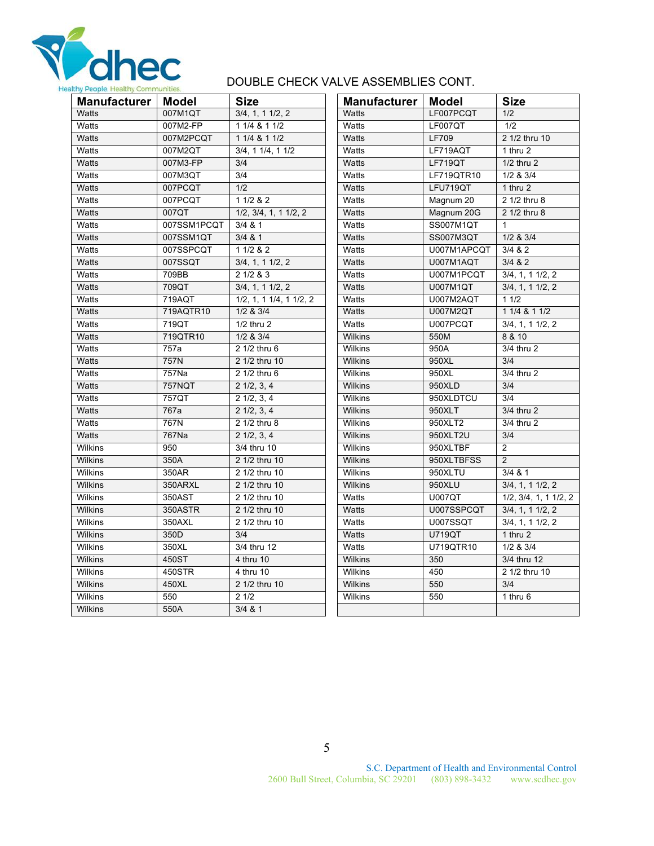

# DOUBLE CHECK VALVE ASSEMBLIES CONT.

| <b>Manufacturer</b> | Model       | <b>Size</b>             | Manufacturer   | Model            | <b>Size</b>            |
|---------------------|-------------|-------------------------|----------------|------------------|------------------------|
| <b>Watts</b>        | 007M1QT     | 3/4, 1, 11/2, 2         | Watts          | LF007PCQT        | 1/2                    |
| Watts               | 007M2-FP    | 1 1/4 & 1 1/2           | Watts          | LF007QT          | 1/2                    |
| Watts               | 007M2PCQT   | 1 1/4 & 1 1/2           | Watts          | <b>LF709</b>     | 2 1/2 thru 10          |
| Watts               | 007M2QT     | 3/4, 11/4, 11/2         | Watts          | LF719AQT         | 1 thru 2               |
| <b>Watts</b>        | 007M3-FP    | 3/4                     | <b>Watts</b>   | <b>LF719QT</b>   | $1/2$ thru $2$         |
| Watts               | 007M3QT     | 3/4                     | Watts          | LF719QTR10       | $1/2$ & $3/4$          |
| <b>Watts</b>        | 007PCQT     | 1/2                     | Watts          | LFU719QT         | 1 thru 2               |
| Watts               | 007PCQT     | 11/2 & 22               | Watts          | Magnum 20        | $2\sqrt{1/2}$ thru 8   |
| <b>Watts</b>        | 007QT       | 1/2, 3/4, 1, 1 1/2, 2   | Watts          | Magnum 20G       | 2 1/2 thru 8           |
| Watts               | 007SSM1PCQT | $3/4$ & 1               | Watts          | <b>SS007M1QT</b> | $\mathbf{1}$           |
| Watts               | 007SSM1QT   | 3/4 & 81                | Watts          | SS007M3QT        | $1/2$ & $3/4$          |
| Watts               | 007SSPCQT   | 11/2 & 22               | Watts          | U007M1APCQT      | 3/4 & 82               |
| <b>Watts</b>        | 007SSQT     | 3/4, 1, 11/2, 2         | Watts          | <b>U007M1AQT</b> | 3/4 & 82               |
| Watts               | 709BB       | 21/283                  | Watts          | U007M1PCQT       | $3/4$ , 1, 1 $1/2$ , 2 |
| Watts               | 709QT       | 3/4, 1, 11/2, 2         | Watts          | U007M1QT         | 3/4, 1, 11/2, 2        |
| Watts               | 719AQT      | 1/2, 1, 1 1/4, 1 1/2, 2 | Watts          | U007M2AQT        | 11/2                   |
| Watts               | 719AQTR10   | $1/2$ & $3/4$           | Watts          | U007M2QT         | $11/4$ & $11/2$        |
| Watts               | 719QT       | $1/2$ thru $2$          | Watts          | U007PCQT         | $3/4$ , 1, 1 $1/2$ , 2 |
| <b>Watts</b>        | 719QTR10    | $1/2$ & $3/4$           | <b>Wilkins</b> | 550M             | 8 & 10                 |
| Watts               | 757a        | 2 1/2 thru 6            | Wilkins        | 950A             | 3/4 thru 2             |
| Watts               | 757N        | 2 1/2 thru 10           | <b>Wilkins</b> | 950XL            | 3/4                    |
| Watts               | 757Na       | 2 1/2 thru 6            | Wilkins        | 950XL            | 3/4 thru 2             |
| <b>Watts</b>        | 757NQT      | $2 \frac{1}{2}, 3, 4$   | <b>Wilkins</b> | 950XLD           | 3/4                    |
| Watts               | 757QT       | $2\ 1/2, 3, 4$          | Wilkins        | 950XLDTCU        | 3/4                    |
| Watts               | 767a        | $2\ 1/2, 3, 4$          | <b>Wilkins</b> | 950XLT           | 3/4 thru 2             |
| Watts               | 767N        | 2 1/2 thru 8            | Wilkins        | 950XLT2          | 3/4 thru 2             |
| Watts               | 767Na       | $2 \frac{1}{2}, 3, 4$   | <b>Wilkins</b> | 950XLT2U         | 3/4                    |
| <b>Wilkins</b>      | 950         | 3/4 thru 10             | Wilkins        | 950XLTBF         | $\overline{2}$         |
| <b>Wilkins</b>      | 350A        | 2 1/2 thru 10           | Wilkins        | 950XLTBFSS       | 2                      |
| Wilkins             | 350AR       | 2 1/2 thru 10           | Wilkins        | 950XLTU          | 3/4 & 81               |
| Wilkins             | 350ARXL     | 2 1/2 thru 10           | Wilkins        | 950XLU           | 3/4, 1, 11/2, 2        |
| <b>Wilkins</b>      | 350AST      | 2 1/2 thru 10           | Watts          | <b>U007QT</b>    | 1/2, 3/4, 1, 11/2, 2   |
| <b>Wilkins</b>      | 350ASTR     | 2 1/2 thru 10           | Watts          | U007SSPCQT       | 3/4, 1, 11/2, 2        |
| Wilkins             | 350AXL      | 2 1/2 thru 10           | Watts          | U007SSQT         | 3/4, 1, 11/2, 2        |
| <b>Wilkins</b>      | 350D        | 3/4                     | <b>Watts</b>   | <b>U719QT</b>    | 1 thru 2               |
| Wilkins             | 350XL       | 3/4 thru 12             | Watts          | U719QTR10        | $1/2$ & $3/4$          |
| <b>Wilkins</b>      | 450ST       | 4 thru 10               | Wilkins        | 350              | 3/4 thru 12            |
| <b>Wilkins</b>      | 450STR      | 4 thru 10               | <b>Wilkins</b> | 450              | 2 1/2 thru 10          |
| <b>Wilkins</b>      | 450XL       | 2 1/2 thru 10           | Wilkins        | 550              | 3/4                    |
| Wilkins             | 550         | 21/2                    | Wilkins        | 550              | $1$ thru 6             |
| <b>Wilkins</b>      | 550A        | 3/4 & 81                |                |                  |                        |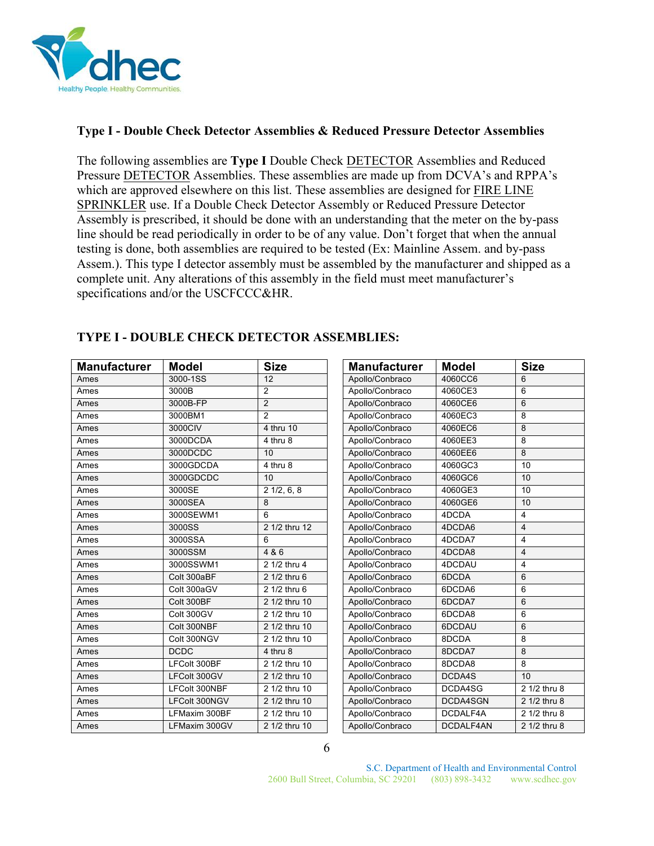

#### **Type I - Double Check Detector Assemblies & Reduced Pressure Detector Assemblies**

The following assemblies are **Type I** Double Check DETECTOR Assemblies and Reduced Pressure DETECTOR Assemblies. These assemblies are made up from DCVA's and RPPA's which are approved elsewhere on this list. These assemblies are designed for FIRE LINE SPRINKLER use. If a Double Check Detector Assembly or Reduced Pressure Detector Assembly is prescribed, it should be done with an understanding that the meter on the by-pass line should be read periodically in order to be of any value. Don't forget that when the annual testing is done, both assemblies are required to be tested (Ex: Mainline Assem. and by-pass Assem.). This type I detector assembly must be assembled by the manufacturer and shipped as a complete unit. Any alterations of this assembly in the field must meet manufacturer's specifications and/or the USCFCCC&HR.

| <b>Manufacturer</b> | <b>Model</b>  | <b>Size</b>    | <b>Manufacturer</b> | <b>Model</b>    | <b>Size</b>    |
|---------------------|---------------|----------------|---------------------|-----------------|----------------|
| Ames                | 3000-1SS      | 12             | Apollo/Conbraco     | 4060CC6         | 6              |
| Ames                | 3000B         | $\overline{2}$ | Apollo/Conbraco     | 4060CE3         | 6              |
| Ames                | 3000B-FP      | $\overline{2}$ | Apollo/Conbraco     | 4060CE6         | 6              |
| Ames                | 3000BM1       | $\overline{2}$ | Apollo/Conbraco     | 4060EC3         | 8              |
| Ames                | 3000CIV       | 4 thru 10      | Apollo/Conbraco     | 4060EC6         | 8              |
| Ames                | 3000DCDA      | 4 thru 8       | Apollo/Conbraco     | 4060EE3         | 8              |
| Ames                | 3000DCDC      | 10             | Apollo/Conbraco     | 4060EE6         | 8              |
| Ames                | 3000GDCDA     | 4 thru 8       | Apollo/Conbraco     | 4060GC3         | 10             |
| Ames                | 3000GDCDC     | 10             | Apollo/Conbraco     | 4060GC6         | 10             |
| Ames                | 3000SE        | 21/2, 6, 8     | Apollo/Conbraco     | 4060GE3         | 10             |
| Ames                | 3000SEA       | 8              | Apollo/Conbraco     | 4060GE6         | 10             |
| Ames                | 3000SEWM1     | 6              | Apollo/Conbraco     | 4DCDA           | 4              |
| Ames                | 3000SS        | 2 1/2 thru 12  | Apollo/Conbraco     | 4DCDA6          | $\overline{4}$ |
| Ames                | 3000SSA       | 6              | Apollo/Conbraco     | 4DCDA7          | 4              |
| Ames                | 3000SSM       | 4 & 6          | Apollo/Conbraco     | 4DCDA8          | $\overline{4}$ |
| Ames                | 3000SSWM1     | 2 1/2 thru 4   | Apollo/Conbraco     | 4DCDAU          | 4              |
| Ames                | Colt 300aBF   | 2 1/2 thru 6   | Apollo/Conbraco     | 6DCDA           | 6              |
| Ames                | Colt 300aGV   | 2 1/2 thru 6   | Apollo/Conbraco     | 6DCDA6          | 6              |
| Ames                | Colt 300BF    | 2 1/2 thru 10  | Apollo/Conbraco     | 6DCDA7          | 6              |
| Ames                | Colt 300GV    | 2 1/2 thru 10  | Apollo/Conbraco     | 6DCDA8          | 6              |
| Ames                | Colt 300NBF   | 2 1/2 thru 10  | Apollo/Conbraco     | 6DCDAU          | 6              |
| Ames                | Colt 300NGV   | 2 1/2 thru 10  | Apollo/Conbraco     | 8DCDA           | 8              |
| Ames                | <b>DCDC</b>   | 4 thru 8       | Apollo/Conbraco     | 8DCDA7          | 8              |
| Ames                | LFColt 300BF  | 2 1/2 thru 10  | Apollo/Conbraco     | 8DCDA8          | 8              |
| Ames                | LFColt 300GV  | 2 1/2 thru 10  | Apollo/Conbraco     | DCDA4S          | 10             |
| Ames                | LFColt 300NBF | 2 1/2 thru 10  | Apollo/Conbraco     | DCDA4SG         | 2 1/2 thru 8   |
| Ames                | LFColt 300NGV | 2 1/2 thru 10  | Apollo/Conbraco     | <b>DCDA4SGN</b> | 2 1/2 thru 8   |
| Ames                | LFMaxim 300BF | 2 1/2 thru 10  | Apollo/Conbraco     | DCDALF4A        | 2 1/2 thru 8   |
| Ames                | LFMaxim 300GV | 2 1/2 thru 10  | Apollo/Conbraco     | DCDALF4AN       | 2 1/2 thru 8   |

## **TYPE I - DOUBLE CHECK DETECTOR ASSEMBLIES:**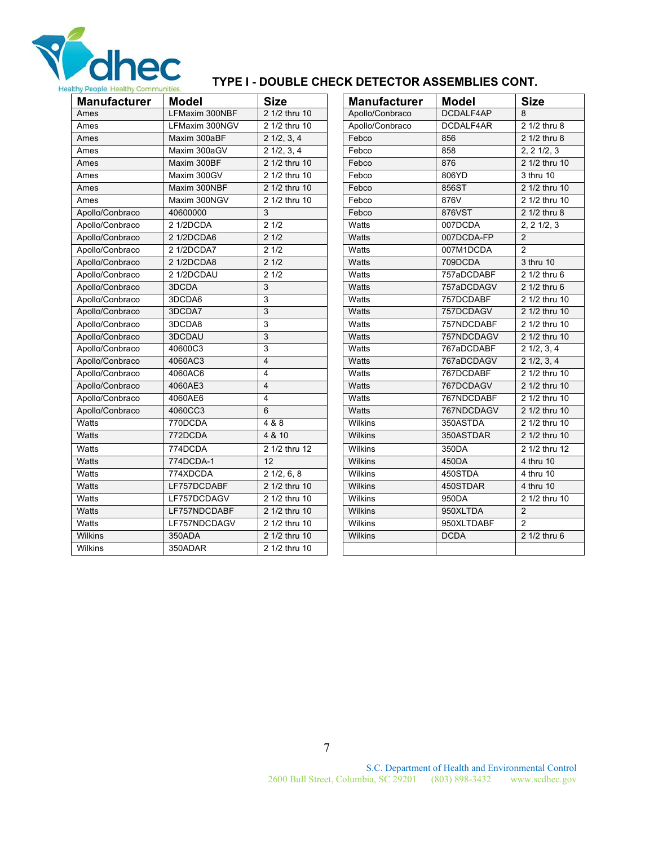

# **TYPE I - DOUBLE CHECK DETECTOR ASSEMBLIES CONT.**

| <b>Manufacturer</b> | <b>Model</b>   | <b>Size</b>           | <b>Manufacturer</b> | <b>Model</b> | <b>Size</b>          |
|---------------------|----------------|-----------------------|---------------------|--------------|----------------------|
| Ames                | LFMaxim 300NBF | 2 1/2 thru 10         | Apollo/Conbraco     | DCDALF4AP    | 8                    |
| Ames                | LFMaxim 300NGV | 2 1/2 thru 10         | Apollo/Conbraco     | DCDALF4AR    | 2 1/2 thru 8         |
| Ames                | Maxim 300aBF   | $2 \frac{1}{2}, 3, 4$ | Febco               | 856          | 2 1/2 thru 8         |
| Ames                | Maxim 300aGV   | $2\frac{1}{2}, 3, 4$  | Febco               | 858          | 2, 21/2, 3           |
| Ames                | Maxim 300BF    | 2 1/2 thru 10         | Febco               | 876          | 2 1/2 thru 10        |
| Ames                | Maxim 300GV    | 2 1/2 thru 10         | Febco               | 806YD        | 3 thru 10            |
| Ames                | Maxim 300NBF   | 2 1/2 thru 10         | Febco               | 856ST        | 2 1/2 thru 10        |
| Ames                | Maxim 300NGV   | 2 1/2 thru 10         | Febco               | 876V         | 2 1/2 thru 10        |
| Apollo/Conbraco     | 40600000       | 3                     | Febco               | 876VST       | 2 1/2 thru 8         |
| Apollo/Conbraco     | 2 1/2DCDA      | 21/2                  | Watts               | 007DCDA      | 2, 2, 1/2, 3         |
| Apollo/Conbraco     | 2 1/2DCDA6     | 21/2                  | Watts               | 007DCDA-FP   | 2                    |
| Apollo/Conbraco     | 2 1/2DCDA7     | 21/2                  | Watts               | 007M1DCDA    | $\overline{2}$       |
| Apollo/Conbraco     | 2 1/2DCDA8     | 21/2                  | Watts               | 709DCDA      | 3 thru 10            |
| Apollo/Conbraco     | 2 1/2DCDAU     | 21/2                  | Watts               | 757aDCDABF   | 2 1/2 thru 6         |
| Apollo/Conbraco     | 3DCDA          | 3                     | Watts               | 757aDCDAGV   | 2 1/2 thru 6         |
| Apollo/Conbraco     | 3DCDA6         | 3                     | Watts               | 757DCDABF    | 2 1/2 thru 10        |
| Apollo/Conbraco     | 3DCDA7         | 3                     | Watts               | 757DCDAGV    | 2 1/2 thru 10        |
| Apollo/Conbraco     | 3DCDA8         | 3                     | Watts               | 757NDCDABF   | 2 1/2 thru 10        |
| Apollo/Conbraco     | 3DCDAU         | 3                     | Watts               | 757NDCDAGV   | 2 1/2 thru 10        |
| Apollo/Conbraco     | 40600C3        | 3                     | Watts               | 767aDCDABF   | $2\frac{1}{2}, 3, 4$ |
| Apollo/Conbraco     | 4060AC3        | $\overline{4}$        | Watts               | 767aDCDAGV   | $2\frac{1}{2}, 3, 4$ |
| Apollo/Conbraco     | 4060AC6        | $\overline{4}$        | Watts               | 767DCDABF    | 2 1/2 thru 10        |
| Apollo/Conbraco     | 4060AE3        | $\overline{4}$        | <b>Watts</b>        | 767DCDAGV    | 2 1/2 thru 10        |
| Apollo/Conbraco     | 4060AE6        | $\overline{4}$        | Watts               | 767NDCDABF   | 2 1/2 thru 10        |
| Apollo/Conbraco     | 4060CC3        | 6                     | Watts               | 767NDCDAGV   | 2 1/2 thru 10        |
| Watts               | 770DCDA        | 488                   | Wilkins             | 350ASTDA     | 2 1/2 thru 10        |
| Watts               | 772DCDA        | 4 & 10                | Wilkins             | 350ASTDAR    | 2 1/2 thru 10        |
| <b>Watts</b>        | 774DCDA        | 2 1/2 thru 12         | <b>Wilkins</b>      | 350DA        | 2 1/2 thru 12        |
| <b>Watts</b>        | 774DCDA-1      | $\overline{12}$       | <b>Wilkins</b>      | 450DA        | 4 thru 10            |
| Watts               | 774XDCDA       | $2\frac{1}{2}$ , 6, 8 | Wilkins             | 450STDA      | 4 thru 10            |
| Watts               | LF757DCDABF    | 2 1/2 thru 10         | Wilkins             | 450STDAR     | 4 thru 10            |
| Watts               | LF757DCDAGV    | 2 1/2 thru 10         | Wilkins             | 950DA        | 2 1/2 thru 10        |
| Watts               | LF757NDCDABF   | 2 1/2 thru 10         | Wilkins             | 950XLTDA     | 2                    |
| Watts               | LF757NDCDAGV   | 2 1/2 thru 10         | Wilkins             | 950XLTDABF   | $\mathfrak{p}$       |
| Wilkins             | 350ADA         | 2 1/2 thru 10         | Wilkins             | <b>DCDA</b>  | 2 1/2 thru 6         |
| Wilkins             | 350ADAR        | 2 1/2 thru 10         |                     |              |                      |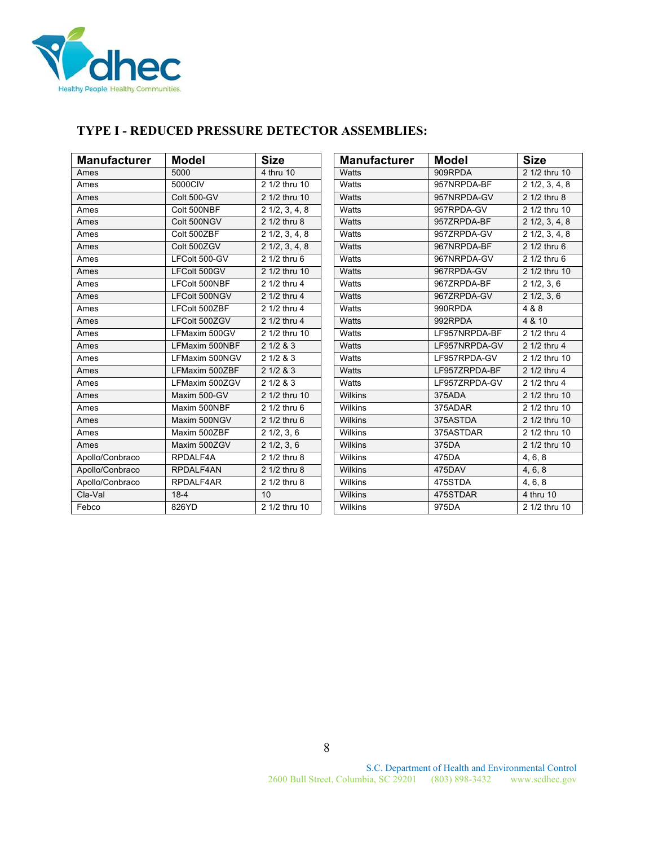

## **TYPE I - REDUCED PRESSURE DETECTOR ASSEMBLIES:**

| <b>Manufacturer</b> | <b>Model</b>       | <b>Size</b>             | <b>Manufacturer</b> | <b>Model</b>  | <b>Size</b>             |
|---------------------|--------------------|-------------------------|---------------------|---------------|-------------------------|
| Ames                | 5000               | 4 thru 10               | Watts               | 909RPDA       | 2 1/2 thru 10           |
| Ames                | 5000CIV            | 2 1/2 thru 10           | Watts               | 957NRPDA-BF   | $2\frac{1}{2}, 3, 4, 8$ |
| Ames                | <b>Colt 500-GV</b> | 2 1/2 thru 10           | Watts               | 957NRPDA-GV   | $21/2$ thru 8           |
| Ames                | Colt 500NBF        | $2\frac{1}{2}, 3, 4, 8$ | Watts               | 957RPDA-GV    | 2 1/2 thru 10           |
| Ames                | Colt 500NGV        | 2 1/2 thru 8            | Watts               | 957ZRPDA-BF   | $2\ 1/2, 3, 4, 8$       |
| Ames                | Colt 500ZBF        | $2\frac{1}{2}, 3, 4, 8$ | Watts               | 957ZRPDA-GV   | $2\ 1/2, 3, 4, 8$       |
| Ames                | Colt 500ZGV        | $2\frac{1}{2}, 3, 4, 8$ | Watts               | 967NRPDA-BF   | 2 1/2 thru 6            |
| Ames                | LFColt 500-GV      | $21/2$ thru 6           | Watts               | 967NRPDA-GV   | 2 1/2 thru 6            |
| Ames                | LFColt 500GV       | 2 1/2 thru 10           | Watts               | 967RPDA-GV    | 2 1/2 thru 10           |
| Ames                | LFColt 500NBF      | 2 1/2 thru 4            | Watts               | 967ZRPDA-BF   | $2\frac{1}{2}, 3, 6$    |
| Ames                | LFColt 500NGV      | 2 1/2 thru 4            | Watts               | 967ZRPDA-GV   | $2\frac{1}{2}$ , 3, 6   |
| Ames                | LFColt 500ZBF      | 2 1/2 thru 4            | Watts               | 990RPDA       | 4 & 8                   |
| Ames                | LFColt 500ZGV      | 2 1/2 thru 4            | Watts               | 992RPDA       | 4 & 10                  |
| Ames                | LFMaxim 500GV      | 2 1/2 thru 10           | Watts               | LF957NRPDA-BF | 2 1/2 thru 4            |
| Ames                | LFMaxim 500NBF     | 21/283                  | Watts               | LF957NRPDA-GV | 2 1/2 thru 4            |
| Ames                | LFMaxim 500NGV     | 21/283                  | Watts               | LF957RPDA-GV  | 2 1/2 thru 10           |
| Ames                | LFMaxim 500ZBF     | 21/283                  | Watts               | LF957ZRPDA-BF | 2 1/2 thru 4            |
| Ames                | LFMaxim 500ZGV     | 21/283                  | Watts               | LF957ZRPDA-GV | 2 1/2 thru 4            |
| Ames                | Maxim 500-GV       | 2 1/2 thru 10           | Wilkins             | 375ADA        | 2 1/2 thru 10           |
| Ames                | Maxim 500NBF       | 2 1/2 thru 6            | <b>Wilkins</b>      | 375ADAR       | 2 1/2 thru 10           |
| Ames                | Maxim 500NGV       | 2 1/2 thru 6            | Wilkins             | 375ASTDA      | 2 1/2 thru 10           |
| Ames                | Maxim 500ZBF       | $2\frac{1}{2}, 3, 6$    | Wilkins             | 375ASTDAR     | 2 1/2 thru 10           |
| Ames                | Maxim 500ZGV       | $2\frac{1}{2}, 3, 6$    | Wilkins             | 375DA         | 2 1/2 thru 10           |
| Apollo/Conbraco     | RPDALF4A           | 2 1/2 thru 8            | Wilkins             | 475DA         | 4, 6, 8                 |
| Apollo/Conbraco     | RPDALF4AN          | 2 1/2 thru 8            | <b>Wilkins</b>      | 475DAV        | 4, 6, 8                 |
| Apollo/Conbraco     | RPDALF4AR          | 2 1/2 thru 8            | Wilkins             | 475STDA       | 4, 6, 8                 |
| Cla-Val             | $18-4$             | 10                      | Wilkins             | 475STDAR      | 4 thru 10               |
| Febco               | 826YD              | 2 1/2 thru 10           | Wilkins             | 975DA         | 2 1/2 thru 10           |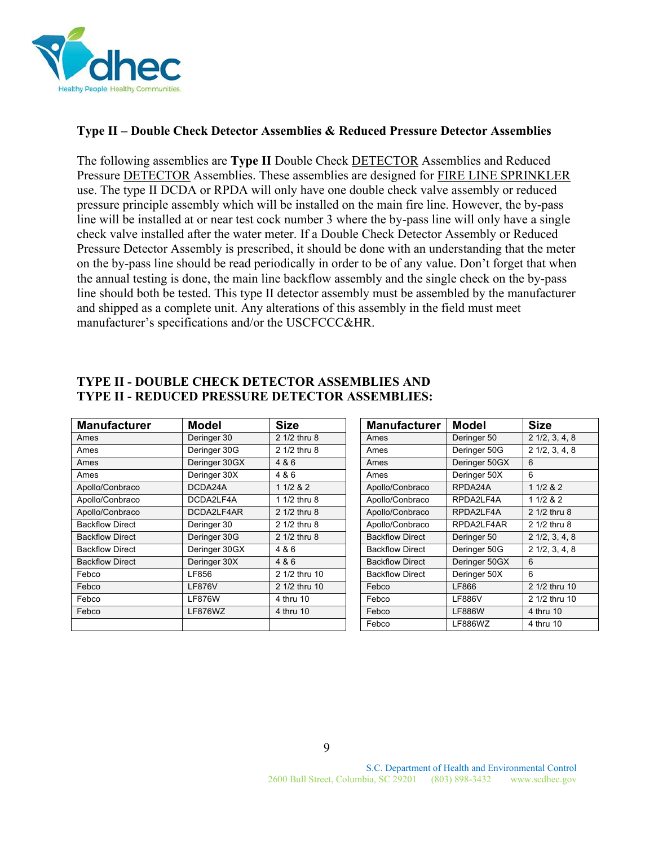

#### **Type II – Double Check Detector Assemblies & Reduced Pressure Detector Assemblies**

The following assemblies are **Type II** Double Check DETECTOR Assemblies and Reduced Pressure **DETECTOR** Assemblies. These assemblies are designed for **FIRE LINE SPRINKLER** use. The type II DCDA or RPDA will only have one double check valve assembly or reduced pressure principle assembly which will be installed on the main fire line. However, the by-pass line will be installed at or near test cock number 3 where the by-pass line will only have a single check valve installed after the water meter. If a Double Check Detector Assembly or Reduced Pressure Detector Assembly is prescribed, it should be done with an understanding that the meter on the by-pass line should be read periodically in order to be of any value. Don't forget that when the annual testing is done, the main line backflow assembly and the single check on the by-pass line should both be tested. This type II detector assembly must be assembled by the manufacturer and shipped as a complete unit. Any alterations of this assembly in the field must meet manufacturer's specifications and/or the USCFCCC&HR.

| <b>Manufacturer</b>    | Model         | <b>Size</b>   | <b>Manufacturer</b>    | <b>Model</b>  | <b>Size</b>             |
|------------------------|---------------|---------------|------------------------|---------------|-------------------------|
| Ames                   | Deringer 30   | 2 1/2 thru 8  | Ames                   | Deringer 50   | $2\frac{1}{2}, 3, 4, 8$ |
| Ames                   | Deringer 30G  | 2 1/2 thru 8  | Ames                   | Deringer 50G  | $2\frac{1}{2}, 3, 4, 8$ |
| Ames                   | Deringer 30GX | 4 & 6         | Ames                   | Deringer 50GX | 6                       |
| Ames                   | Deringer 30X  | 4 & 6         | Ames                   | Deringer 50X  | 6                       |
| Apollo/Conbraco        | DCDA24A       | 11/282        | Apollo/Conbraco        | RPDA24A       | 11/282                  |
| Apollo/Conbraco        | DCDA2LF4A     | 1 1/2 thru 8  | Apollo/Conbraco        | RPDA2LF4A     | 11/282                  |
| Apollo/Conbraco        | DCDA2LF4AR    | 2 1/2 thru 8  | Apollo/Conbraco        | RPDA2LF4A     | 2 1/2 thru 8            |
| <b>Backflow Direct</b> | Deringer 30   | 2 1/2 thru 8  | Apollo/Conbraco        | RPDA2LF4AR    | 2 1/2 thru 8            |
| <b>Backflow Direct</b> | Deringer 30G  | 2 1/2 thru 8  | <b>Backflow Direct</b> | Deringer 50   | $2\frac{1}{2}, 3, 4, 8$ |
| <b>Backflow Direct</b> | Deringer 30GX | 4 & 6         | <b>Backflow Direct</b> | Deringer 50G  | $2\frac{1}{2}, 3, 4, 8$ |
| <b>Backflow Direct</b> | Deringer 30X  | 4 & 6         | <b>Backflow Direct</b> | Deringer 50GX | 6                       |
| Febco                  | LF856         | 2 1/2 thru 10 | <b>Backflow Direct</b> | Deringer 50X  | 6                       |
| Febco                  | <b>LF876V</b> | 2 1/2 thru 10 | Febco                  | LF866         | 2 1/2 thru 10           |
| Febco                  | <b>LF876W</b> | 4 thru 10     | Febco                  | <b>LF886V</b> | 2 1/2 thru 10           |
| Febco                  | LF876WZ       | 4 thru 10     | Febco                  | <b>LF886W</b> | 4 thru 10               |
|                        |               |               | Febco                  | LF886WZ       | 4 thru 10               |

#### **TYPE II - DOUBLE CHECK DETECTOR ASSEMBLIES AND TYPE II - REDUCED PRESSURE DETECTOR ASSEMBLIES:**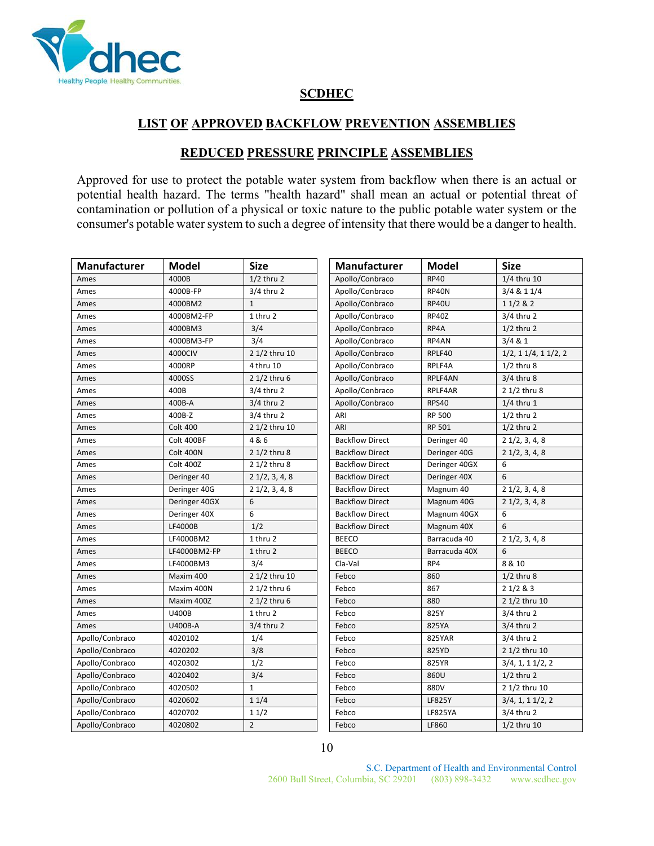

## **SCDHEC**

## **LIST OF APPROVED BACKFLOW PREVENTION ASSEMBLIES**

## **REDUCED PRESSURE PRINCIPLE ASSEMBLIES**

Approved for use to protect the potable water system from backflow when there is an actual or potential health hazard. The terms "health hazard" shall mean an actual or potential threat of contamination or pollution of a physical or toxic nature to the public potable water system or the consumer's potable water system to such a degree of intensity that there would be a danger to health.

| Manufacturer    | <b>Model</b>    | <b>Size</b>              | Manufacturer           | <b>Model</b>  | <b>Size</b>                   |
|-----------------|-----------------|--------------------------|------------------------|---------------|-------------------------------|
| Ames            | 4000B           | $1/2$ thru 2             | Apollo/Conbraco        | <b>RP40</b>   | 1/4 thru 10                   |
| Ames            | 4000B-FP        | $3/4$ thru 2             | Apollo/Conbraco        | RP40N         | 3/4 & 1 1/4                   |
| Ames            | 4000BM2         | $\mathbf{1}$             | Apollo/Conbraco        | <b>RP40U</b>  | 11/282                        |
| Ames            | 4000BM2-FP      | 1 thru 2                 | Apollo/Conbraco        | <b>RP40Z</b>  | 3/4 thru 2                    |
| Ames            | 4000BM3         | 3/4                      | Apollo/Conbraco        | RP4A          | $1/2$ thru 2                  |
| Ames            | 4000BM3-FP      | 3/4                      | Apollo/Conbraco        | RP4AN         | 3/4 & 81                      |
| Ames            | 4000CIV         | 2 1/2 thru 10            | Apollo/Conbraco        | RPLF40        | $1/2$ , 1 $1/4$ , 1 $1/2$ , 2 |
| Ames            | 4000RP          | 4 thru 10                | Apollo/Conbraco        | RPLF4A        | $1/2$ thru $8$                |
| Ames            | 4000SS          | 2 1/2 thru 6             | Apollo/Conbraco        | RPLF4AN       | $3/4$ thru 8                  |
| Ames            | 400B            | $3/4$ thru 2             | Apollo/Conbraco        | RPLF4AR       | 2 1/2 thru 8                  |
| Ames            | 400B-A          | 3/4 thru 2               | Apollo/Conbraco        | <b>RPS40</b>  | $1/4$ thru 1                  |
| Ames            | 400B-Z          | 3/4 thru 2               | ARI                    | <b>RP 500</b> | $1/2$ thru 2                  |
| Ames            | <b>Colt 400</b> | 2 1/2 thru 10            | ARI                    | RP 501        | $1/2$ thru 2                  |
| Ames            | Colt 400BF      | 4 & 6                    | <b>Backflow Direct</b> | Deringer 40   | $2\ 1/2, 3, 4, 8$             |
| Ames            | Colt 400N       | 2 1/2 thru 8             | <b>Backflow Direct</b> | Deringer 40G  | $2\frac{1}{2}$ , 3, 4, 8      |
| Ames            | Colt 400Z       | 2 1/2 thru 8             | <b>Backflow Direct</b> | Deringer 40GX | 6                             |
| Ames            | Deringer 40     | $2\frac{1}{2}$ , 3, 4, 8 | <b>Backflow Direct</b> | Deringer 40X  | 6                             |
| Ames            | Deringer 40G    | $2\frac{1}{2}$ , 3, 4, 8 | <b>Backflow Direct</b> | Magnum 40     | $2\ 1/2, 3, 4, 8$             |
| Ames            | Deringer 40GX   | 6                        | <b>Backflow Direct</b> | Magnum 40G    | $2\frac{1}{2}$ , 3, 4, 8      |
| Ames            | Deringer 40X    | 6                        | <b>Backflow Direct</b> | Magnum 40GX   | 6                             |
| Ames            | LF4000B         | 1/2                      | <b>Backflow Direct</b> | Magnum 40X    | 6                             |
| Ames            | LF4000BM2       | 1 thru 2                 | <b>BEECO</b>           | Barracuda 40  | $2\frac{1}{2}$ , 3, 4, 8      |
| Ames            | LF4000BM2-FP    | 1 thru 2                 | <b>BEECO</b>           | Barracuda 40X | 6                             |
| Ames            | LF4000BM3       | 3/4                      | Cla-Val                | RP4           | 8 & 10                        |
| Ames            | Maxim 400       | 2 1/2 thru 10            | Febco                  | 860           | $1/2$ thru $8$                |
| Ames            | Maxim 400N      | 2 $1/2$ thru 6           | Febco                  | 867           | 21/283                        |
| Ames            | Maxim 400Z      | 2 1/2 thru 6             | Febco                  | 880           | 2 1/2 thru 10                 |
| Ames            | <b>U400B</b>    | 1 thru 2                 | Febco                  | 825Y          | 3/4 thru 2                    |
| Ames            | U400B-A         | 3/4 thru 2               | Febco                  | 825YA         | $3/4$ thru 2                  |
| Apollo/Conbraco | 4020102         | 1/4                      | Febco                  | <b>825YAR</b> | $3/4$ thru 2                  |
| Apollo/Conbraco | 4020202         | 3/8                      | Febco                  | 825YD         | 2 1/2 thru 10                 |
| Apollo/Conbraco | 4020302         | 1/2                      | Febco                  | 825YR         | $3/4$ , 1, 1 $1/2$ , 2        |
| Apollo/Conbraco | 4020402         | 3/4                      | Febco                  | 860U          | $1/2$ thru 2                  |
| Apollo/Conbraco | 4020502         | $\mathbf{1}$             | Febco                  | 880V          | 2 1/2 thru 10                 |
| Apollo/Conbraco | 4020602         | 11/4                     | Febco                  | LF825Y        | $3/4$ , 1, 1 $1/2$ , 2        |
| Apollo/Conbraco | 4020702         | 11/2                     | Febco                  | LF825YA       | 3/4 thru 2                    |
| Apollo/Conbraco | 4020802         | $\overline{2}$           | Febco                  | LF860         | 1/2 thru 10                   |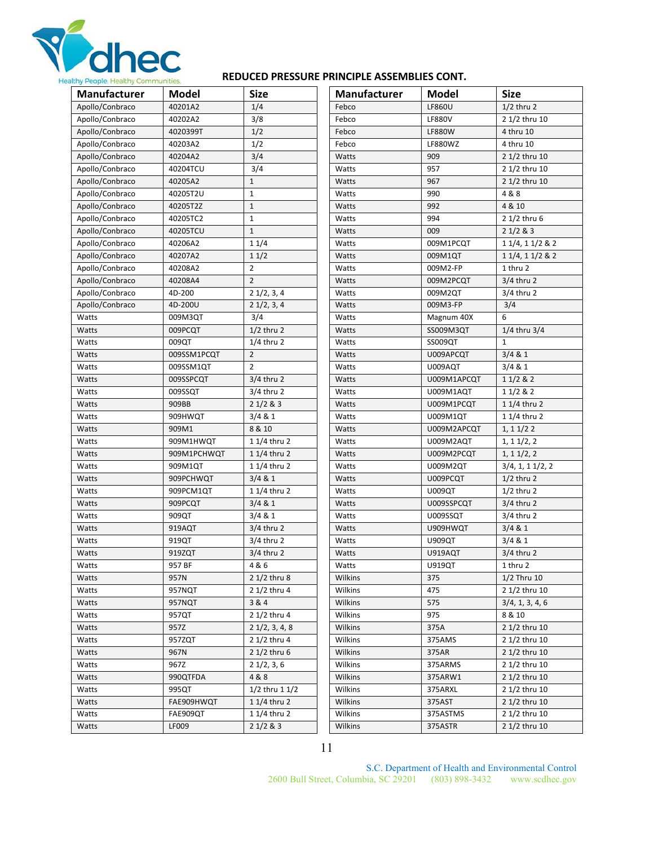

#### **REDUCED PRESSURE PRINCIPLE ASSEMBLIES CONT.**

| 40201A2<br>1/4<br>$1/2$ thru 2<br>Apollo/Conbraco<br>Febco<br>LF860U<br>Apollo/Conbraco<br>3/8<br>2 1/2 thru 10<br>40202A2<br>Febco<br><b>LF880V</b><br>1/2<br>Apollo/Conbraco<br>4020399T<br>Febco<br><b>LF880W</b><br>4 thru 10<br>Apollo/Conbraco<br>1/2<br>40203A2<br>Febco<br><b>LF880WZ</b><br>4 thru 10<br>3/4<br>Apollo/Conbraco<br>40204A2<br>Watts<br>909<br>2 1/2 thru 10<br>3/4<br>Apollo/Conbraco<br>40204TCU<br>957<br>2 1/2 thru 10<br>Watts<br>$\mathbf{1}$<br>967<br>Apollo/Conbraco<br>40205A2<br>Watts<br>2 1/2 thru 10<br>40205T2U<br>$\mathbf{1}$<br>990<br>4 & 8<br>Apollo/Conbraco<br>Watts<br>4 & 10<br>Apollo/Conbraco<br>40205T2Z<br>$\mathbf{1}$<br>Watts<br>992<br>$\mathbf{1}$<br>Apollo/Conbraco<br>40205TC2<br>Watts<br>994<br>2 1/2 thru 6<br>Apollo/Conbraco<br>$\mathbf{1}$<br>21/283<br>40205TCU<br>Watts<br>009<br>Apollo/Conbraco<br>40206A2<br>11/4<br>Watts<br>009M1PCQT<br>1 1/4, 1 1/2 & 2<br>Apollo/Conbraco<br>40207A2<br>11/2<br>Watts<br>009M1QT<br>1 1/4, 1 1/2 & 2<br>$\overline{2}$<br>Apollo/Conbraco<br>Watts<br>1 thru 2<br>40208A2<br>009M2-FP<br>Apollo/Conbraco<br>$\overline{2}$<br>40208A4<br>Watts<br>009M2PCQT<br>$3/4$ thru 2<br>Apollo/Conbraco<br>3/4 thru 2<br>4D-200<br>21/2, 3, 4<br>Watts<br>009M2QT<br>3/4<br>Apollo/Conbraco<br>4D-200U<br>21/2, 3, 4<br>009M3-FP<br>Watts<br>3/4<br>6<br>Watts<br>Magnum 40X<br>009M3QT<br>Watts<br>$1/2$ thru 2<br>009PCQT<br>SS009M3QT<br>$1/4$ thru $3/4$<br>Watts<br>Watts<br>009QT<br>$1/4$ thru 2<br>SS009QT<br>$\mathbf{1}$<br>Watts<br>Watts<br>$\overline{2}$<br>U009APCQT<br>3/4 & 1<br>Watts<br>009SSM1PCQT<br>Watts<br>$\overline{2}$<br>3/4 & 1<br>009SSM1QT<br>Watts<br>Watts<br>U009AQT<br>$3/4$ thru 2<br>1 1/2 & 2<br>Watts<br>009SSPCQT<br>Watts<br>U009M1APCQT<br>$3/4$ thru 2<br>11/282<br>Watts<br>009SSQT<br>Watts<br>U009M1AQT<br>21/283<br>1 1/4 thru 2<br>Watts<br>909BB<br>Watts<br>U009M1PCQT<br>909HWQT<br>3/4 & 1<br>Watts<br>1 1/4 thru 2<br>Watts<br>U009M1QT<br>Watts<br>Watts<br>909M1<br>8 & 10<br>U009M2APCQT<br>1, 11/22<br>Watts<br>1 1/4 thru 2<br>Watts<br>U009M2AQT<br>909M1HWQT<br>1, 11/2, 2<br>Watts<br>1 1/4 thru 2<br>Watts<br>U009M2PCQT<br>1, 11/2, 2<br>909M1PCHWQT<br>1 1/4 thru 2<br>Watts<br>U009M2QT<br>$3/4$ , 1, 1 $1/2$ , 2<br>Watts<br>909M1QT<br>3/4 & 1<br>Watts<br>909PCHWQT<br>Watts<br>U009PCQT<br>$1/2$ thru 2<br>1 1/4 thru 2<br>909PCM1QT<br><b>U009QT</b><br>$1/2$ thru 2<br>Watts<br>Watts<br>3/4 & 1<br>$3/4$ thru 2<br>909PCQT<br>U009SSPCQT<br>Watts<br>Watts<br>3/4 & 1<br>3/4 thru 2<br>909QT<br>U009SSQT<br>Watts<br>Watts<br>3/4 & 1<br>Watts<br>919AQT<br>$3/4$ thru 2<br>Watts<br>U909HWQT<br>919QT<br>3/4 thru 2<br>3/4 & 1<br>Watts<br>Watts<br>U909QT<br>$3/4$ thru 2<br>919ZQT<br>$3/4$ thru 2<br>Watts<br>U919AQT<br>Watts<br>957 BF<br>4 & 6<br>U919QT<br>Watts<br>Watts<br>1 thru 2<br>957N<br>2 1/2 thru 8<br>Wilkins<br>375<br>$1/2$ Thru $10$<br>Watts<br>2 1/2 thru 10<br>957NQT<br>2 1/2 thru 4<br>Wilkins<br>475<br>Watts<br>Wilkins<br>957NQT<br>3&4<br>575<br>3/4, 1, 3, 4, 6<br>Watts<br>975<br>Watts<br>957QT<br>2 1/2 thru 4<br>Wilkins<br>8 & 10<br>$2\frac{1}{2}$ , 3, 4, 8<br>Watts<br>957Z<br>Wilkins<br>375A<br>2 1/2 thru 10<br>957ZQT<br>2 1/2 thru 4<br>Wilkins<br>375AMS<br>2 1/2 thru 10<br>Watts<br>2 1/2 thru 6<br>Wilkins<br>375AR<br>2 1/2 thru 10<br>Watts<br>967N<br>967Z<br>$2\frac{1}{2}$ , 3, 6<br>375ARMS<br>2 1/2 thru 10<br>Watts<br>Wilkins<br>4&8<br>375ARW1<br>2 1/2 thru 10<br>Watts<br>990QTFDA<br>Wilkins<br>995QT<br>$1/2$ thru $11/2$<br>2 1/2 thru 10<br>Watts<br>Wilkins<br>375ARXL<br>1 1/4 thru 2<br>FAE909HWQT<br>Wilkins<br>375AST<br>2 1/2 thru 10<br>Watts<br>FAE909QT<br>1 1/4 thru 2<br>Wilkins<br>2 1/2 thru 10<br>Watts<br>375ASTMS<br>Wilkins | Manufacturer | <b>Model</b> | <b>Size</b> | <b>Manufacturer</b> | Model   | <b>Size</b>   |
|-------------------------------------------------------------------------------------------------------------------------------------------------------------------------------------------------------------------------------------------------------------------------------------------------------------------------------------------------------------------------------------------------------------------------------------------------------------------------------------------------------------------------------------------------------------------------------------------------------------------------------------------------------------------------------------------------------------------------------------------------------------------------------------------------------------------------------------------------------------------------------------------------------------------------------------------------------------------------------------------------------------------------------------------------------------------------------------------------------------------------------------------------------------------------------------------------------------------------------------------------------------------------------------------------------------------------------------------------------------------------------------------------------------------------------------------------------------------------------------------------------------------------------------------------------------------------------------------------------------------------------------------------------------------------------------------------------------------------------------------------------------------------------------------------------------------------------------------------------------------------------------------------------------------------------------------------------------------------------------------------------------------------------------------------------------------------------------------------------------------------------------------------------------------------------------------------------------------------------------------------------------------------------------------------------------------------------------------------------------------------------------------------------------------------------------------------------------------------------------------------------------------------------------------------------------------------------------------------------------------------------------------------------------------------------------------------------------------------------------------------------------------------------------------------------------------------------------------------------------------------------------------------------------------------------------------------------------------------------------------------------------------------------------------------------------------------------------------------------------------------------------------------------------------------------------------------------------------------------------------------------------------------------------------------------------------------------------------------------------------------------------------------------------------------------------------------------------------------------------------------------------------------------------------------------------------------------------------------------------------------------------------------------------------------------------------------------------------------------------------------------------------------------------------|--------------|--------------|-------------|---------------------|---------|---------------|
|                                                                                                                                                                                                                                                                                                                                                                                                                                                                                                                                                                                                                                                                                                                                                                                                                                                                                                                                                                                                                                                                                                                                                                                                                                                                                                                                                                                                                                                                                                                                                                                                                                                                                                                                                                                                                                                                                                                                                                                                                                                                                                                                                                                                                                                                                                                                                                                                                                                                                                                                                                                                                                                                                                                                                                                                                                                                                                                                                                                                                                                                                                                                                                                                                                                                                                                                                                                                                                                                                                                                                                                                                                                                                                                                                                                           |              |              |             |                     |         |               |
|                                                                                                                                                                                                                                                                                                                                                                                                                                                                                                                                                                                                                                                                                                                                                                                                                                                                                                                                                                                                                                                                                                                                                                                                                                                                                                                                                                                                                                                                                                                                                                                                                                                                                                                                                                                                                                                                                                                                                                                                                                                                                                                                                                                                                                                                                                                                                                                                                                                                                                                                                                                                                                                                                                                                                                                                                                                                                                                                                                                                                                                                                                                                                                                                                                                                                                                                                                                                                                                                                                                                                                                                                                                                                                                                                                                           |              |              |             |                     |         |               |
|                                                                                                                                                                                                                                                                                                                                                                                                                                                                                                                                                                                                                                                                                                                                                                                                                                                                                                                                                                                                                                                                                                                                                                                                                                                                                                                                                                                                                                                                                                                                                                                                                                                                                                                                                                                                                                                                                                                                                                                                                                                                                                                                                                                                                                                                                                                                                                                                                                                                                                                                                                                                                                                                                                                                                                                                                                                                                                                                                                                                                                                                                                                                                                                                                                                                                                                                                                                                                                                                                                                                                                                                                                                                                                                                                                                           |              |              |             |                     |         |               |
|                                                                                                                                                                                                                                                                                                                                                                                                                                                                                                                                                                                                                                                                                                                                                                                                                                                                                                                                                                                                                                                                                                                                                                                                                                                                                                                                                                                                                                                                                                                                                                                                                                                                                                                                                                                                                                                                                                                                                                                                                                                                                                                                                                                                                                                                                                                                                                                                                                                                                                                                                                                                                                                                                                                                                                                                                                                                                                                                                                                                                                                                                                                                                                                                                                                                                                                                                                                                                                                                                                                                                                                                                                                                                                                                                                                           |              |              |             |                     |         |               |
|                                                                                                                                                                                                                                                                                                                                                                                                                                                                                                                                                                                                                                                                                                                                                                                                                                                                                                                                                                                                                                                                                                                                                                                                                                                                                                                                                                                                                                                                                                                                                                                                                                                                                                                                                                                                                                                                                                                                                                                                                                                                                                                                                                                                                                                                                                                                                                                                                                                                                                                                                                                                                                                                                                                                                                                                                                                                                                                                                                                                                                                                                                                                                                                                                                                                                                                                                                                                                                                                                                                                                                                                                                                                                                                                                                                           |              |              |             |                     |         |               |
|                                                                                                                                                                                                                                                                                                                                                                                                                                                                                                                                                                                                                                                                                                                                                                                                                                                                                                                                                                                                                                                                                                                                                                                                                                                                                                                                                                                                                                                                                                                                                                                                                                                                                                                                                                                                                                                                                                                                                                                                                                                                                                                                                                                                                                                                                                                                                                                                                                                                                                                                                                                                                                                                                                                                                                                                                                                                                                                                                                                                                                                                                                                                                                                                                                                                                                                                                                                                                                                                                                                                                                                                                                                                                                                                                                                           |              |              |             |                     |         |               |
|                                                                                                                                                                                                                                                                                                                                                                                                                                                                                                                                                                                                                                                                                                                                                                                                                                                                                                                                                                                                                                                                                                                                                                                                                                                                                                                                                                                                                                                                                                                                                                                                                                                                                                                                                                                                                                                                                                                                                                                                                                                                                                                                                                                                                                                                                                                                                                                                                                                                                                                                                                                                                                                                                                                                                                                                                                                                                                                                                                                                                                                                                                                                                                                                                                                                                                                                                                                                                                                                                                                                                                                                                                                                                                                                                                                           |              |              |             |                     |         |               |
|                                                                                                                                                                                                                                                                                                                                                                                                                                                                                                                                                                                                                                                                                                                                                                                                                                                                                                                                                                                                                                                                                                                                                                                                                                                                                                                                                                                                                                                                                                                                                                                                                                                                                                                                                                                                                                                                                                                                                                                                                                                                                                                                                                                                                                                                                                                                                                                                                                                                                                                                                                                                                                                                                                                                                                                                                                                                                                                                                                                                                                                                                                                                                                                                                                                                                                                                                                                                                                                                                                                                                                                                                                                                                                                                                                                           |              |              |             |                     |         |               |
|                                                                                                                                                                                                                                                                                                                                                                                                                                                                                                                                                                                                                                                                                                                                                                                                                                                                                                                                                                                                                                                                                                                                                                                                                                                                                                                                                                                                                                                                                                                                                                                                                                                                                                                                                                                                                                                                                                                                                                                                                                                                                                                                                                                                                                                                                                                                                                                                                                                                                                                                                                                                                                                                                                                                                                                                                                                                                                                                                                                                                                                                                                                                                                                                                                                                                                                                                                                                                                                                                                                                                                                                                                                                                                                                                                                           |              |              |             |                     |         |               |
|                                                                                                                                                                                                                                                                                                                                                                                                                                                                                                                                                                                                                                                                                                                                                                                                                                                                                                                                                                                                                                                                                                                                                                                                                                                                                                                                                                                                                                                                                                                                                                                                                                                                                                                                                                                                                                                                                                                                                                                                                                                                                                                                                                                                                                                                                                                                                                                                                                                                                                                                                                                                                                                                                                                                                                                                                                                                                                                                                                                                                                                                                                                                                                                                                                                                                                                                                                                                                                                                                                                                                                                                                                                                                                                                                                                           |              |              |             |                     |         |               |
|                                                                                                                                                                                                                                                                                                                                                                                                                                                                                                                                                                                                                                                                                                                                                                                                                                                                                                                                                                                                                                                                                                                                                                                                                                                                                                                                                                                                                                                                                                                                                                                                                                                                                                                                                                                                                                                                                                                                                                                                                                                                                                                                                                                                                                                                                                                                                                                                                                                                                                                                                                                                                                                                                                                                                                                                                                                                                                                                                                                                                                                                                                                                                                                                                                                                                                                                                                                                                                                                                                                                                                                                                                                                                                                                                                                           |              |              |             |                     |         |               |
|                                                                                                                                                                                                                                                                                                                                                                                                                                                                                                                                                                                                                                                                                                                                                                                                                                                                                                                                                                                                                                                                                                                                                                                                                                                                                                                                                                                                                                                                                                                                                                                                                                                                                                                                                                                                                                                                                                                                                                                                                                                                                                                                                                                                                                                                                                                                                                                                                                                                                                                                                                                                                                                                                                                                                                                                                                                                                                                                                                                                                                                                                                                                                                                                                                                                                                                                                                                                                                                                                                                                                                                                                                                                                                                                                                                           |              |              |             |                     |         |               |
|                                                                                                                                                                                                                                                                                                                                                                                                                                                                                                                                                                                                                                                                                                                                                                                                                                                                                                                                                                                                                                                                                                                                                                                                                                                                                                                                                                                                                                                                                                                                                                                                                                                                                                                                                                                                                                                                                                                                                                                                                                                                                                                                                                                                                                                                                                                                                                                                                                                                                                                                                                                                                                                                                                                                                                                                                                                                                                                                                                                                                                                                                                                                                                                                                                                                                                                                                                                                                                                                                                                                                                                                                                                                                                                                                                                           |              |              |             |                     |         |               |
|                                                                                                                                                                                                                                                                                                                                                                                                                                                                                                                                                                                                                                                                                                                                                                                                                                                                                                                                                                                                                                                                                                                                                                                                                                                                                                                                                                                                                                                                                                                                                                                                                                                                                                                                                                                                                                                                                                                                                                                                                                                                                                                                                                                                                                                                                                                                                                                                                                                                                                                                                                                                                                                                                                                                                                                                                                                                                                                                                                                                                                                                                                                                                                                                                                                                                                                                                                                                                                                                                                                                                                                                                                                                                                                                                                                           |              |              |             |                     |         |               |
|                                                                                                                                                                                                                                                                                                                                                                                                                                                                                                                                                                                                                                                                                                                                                                                                                                                                                                                                                                                                                                                                                                                                                                                                                                                                                                                                                                                                                                                                                                                                                                                                                                                                                                                                                                                                                                                                                                                                                                                                                                                                                                                                                                                                                                                                                                                                                                                                                                                                                                                                                                                                                                                                                                                                                                                                                                                                                                                                                                                                                                                                                                                                                                                                                                                                                                                                                                                                                                                                                                                                                                                                                                                                                                                                                                                           |              |              |             |                     |         |               |
|                                                                                                                                                                                                                                                                                                                                                                                                                                                                                                                                                                                                                                                                                                                                                                                                                                                                                                                                                                                                                                                                                                                                                                                                                                                                                                                                                                                                                                                                                                                                                                                                                                                                                                                                                                                                                                                                                                                                                                                                                                                                                                                                                                                                                                                                                                                                                                                                                                                                                                                                                                                                                                                                                                                                                                                                                                                                                                                                                                                                                                                                                                                                                                                                                                                                                                                                                                                                                                                                                                                                                                                                                                                                                                                                                                                           |              |              |             |                     |         |               |
|                                                                                                                                                                                                                                                                                                                                                                                                                                                                                                                                                                                                                                                                                                                                                                                                                                                                                                                                                                                                                                                                                                                                                                                                                                                                                                                                                                                                                                                                                                                                                                                                                                                                                                                                                                                                                                                                                                                                                                                                                                                                                                                                                                                                                                                                                                                                                                                                                                                                                                                                                                                                                                                                                                                                                                                                                                                                                                                                                                                                                                                                                                                                                                                                                                                                                                                                                                                                                                                                                                                                                                                                                                                                                                                                                                                           |              |              |             |                     |         |               |
|                                                                                                                                                                                                                                                                                                                                                                                                                                                                                                                                                                                                                                                                                                                                                                                                                                                                                                                                                                                                                                                                                                                                                                                                                                                                                                                                                                                                                                                                                                                                                                                                                                                                                                                                                                                                                                                                                                                                                                                                                                                                                                                                                                                                                                                                                                                                                                                                                                                                                                                                                                                                                                                                                                                                                                                                                                                                                                                                                                                                                                                                                                                                                                                                                                                                                                                                                                                                                                                                                                                                                                                                                                                                                                                                                                                           |              |              |             |                     |         |               |
|                                                                                                                                                                                                                                                                                                                                                                                                                                                                                                                                                                                                                                                                                                                                                                                                                                                                                                                                                                                                                                                                                                                                                                                                                                                                                                                                                                                                                                                                                                                                                                                                                                                                                                                                                                                                                                                                                                                                                                                                                                                                                                                                                                                                                                                                                                                                                                                                                                                                                                                                                                                                                                                                                                                                                                                                                                                                                                                                                                                                                                                                                                                                                                                                                                                                                                                                                                                                                                                                                                                                                                                                                                                                                                                                                                                           |              |              |             |                     |         |               |
|                                                                                                                                                                                                                                                                                                                                                                                                                                                                                                                                                                                                                                                                                                                                                                                                                                                                                                                                                                                                                                                                                                                                                                                                                                                                                                                                                                                                                                                                                                                                                                                                                                                                                                                                                                                                                                                                                                                                                                                                                                                                                                                                                                                                                                                                                                                                                                                                                                                                                                                                                                                                                                                                                                                                                                                                                                                                                                                                                                                                                                                                                                                                                                                                                                                                                                                                                                                                                                                                                                                                                                                                                                                                                                                                                                                           |              |              |             |                     |         |               |
|                                                                                                                                                                                                                                                                                                                                                                                                                                                                                                                                                                                                                                                                                                                                                                                                                                                                                                                                                                                                                                                                                                                                                                                                                                                                                                                                                                                                                                                                                                                                                                                                                                                                                                                                                                                                                                                                                                                                                                                                                                                                                                                                                                                                                                                                                                                                                                                                                                                                                                                                                                                                                                                                                                                                                                                                                                                                                                                                                                                                                                                                                                                                                                                                                                                                                                                                                                                                                                                                                                                                                                                                                                                                                                                                                                                           |              |              |             |                     |         |               |
|                                                                                                                                                                                                                                                                                                                                                                                                                                                                                                                                                                                                                                                                                                                                                                                                                                                                                                                                                                                                                                                                                                                                                                                                                                                                                                                                                                                                                                                                                                                                                                                                                                                                                                                                                                                                                                                                                                                                                                                                                                                                                                                                                                                                                                                                                                                                                                                                                                                                                                                                                                                                                                                                                                                                                                                                                                                                                                                                                                                                                                                                                                                                                                                                                                                                                                                                                                                                                                                                                                                                                                                                                                                                                                                                                                                           |              |              |             |                     |         |               |
|                                                                                                                                                                                                                                                                                                                                                                                                                                                                                                                                                                                                                                                                                                                                                                                                                                                                                                                                                                                                                                                                                                                                                                                                                                                                                                                                                                                                                                                                                                                                                                                                                                                                                                                                                                                                                                                                                                                                                                                                                                                                                                                                                                                                                                                                                                                                                                                                                                                                                                                                                                                                                                                                                                                                                                                                                                                                                                                                                                                                                                                                                                                                                                                                                                                                                                                                                                                                                                                                                                                                                                                                                                                                                                                                                                                           |              |              |             |                     |         |               |
|                                                                                                                                                                                                                                                                                                                                                                                                                                                                                                                                                                                                                                                                                                                                                                                                                                                                                                                                                                                                                                                                                                                                                                                                                                                                                                                                                                                                                                                                                                                                                                                                                                                                                                                                                                                                                                                                                                                                                                                                                                                                                                                                                                                                                                                                                                                                                                                                                                                                                                                                                                                                                                                                                                                                                                                                                                                                                                                                                                                                                                                                                                                                                                                                                                                                                                                                                                                                                                                                                                                                                                                                                                                                                                                                                                                           |              |              |             |                     |         |               |
|                                                                                                                                                                                                                                                                                                                                                                                                                                                                                                                                                                                                                                                                                                                                                                                                                                                                                                                                                                                                                                                                                                                                                                                                                                                                                                                                                                                                                                                                                                                                                                                                                                                                                                                                                                                                                                                                                                                                                                                                                                                                                                                                                                                                                                                                                                                                                                                                                                                                                                                                                                                                                                                                                                                                                                                                                                                                                                                                                                                                                                                                                                                                                                                                                                                                                                                                                                                                                                                                                                                                                                                                                                                                                                                                                                                           |              |              |             |                     |         |               |
|                                                                                                                                                                                                                                                                                                                                                                                                                                                                                                                                                                                                                                                                                                                                                                                                                                                                                                                                                                                                                                                                                                                                                                                                                                                                                                                                                                                                                                                                                                                                                                                                                                                                                                                                                                                                                                                                                                                                                                                                                                                                                                                                                                                                                                                                                                                                                                                                                                                                                                                                                                                                                                                                                                                                                                                                                                                                                                                                                                                                                                                                                                                                                                                                                                                                                                                                                                                                                                                                                                                                                                                                                                                                                                                                                                                           |              |              |             |                     |         |               |
|                                                                                                                                                                                                                                                                                                                                                                                                                                                                                                                                                                                                                                                                                                                                                                                                                                                                                                                                                                                                                                                                                                                                                                                                                                                                                                                                                                                                                                                                                                                                                                                                                                                                                                                                                                                                                                                                                                                                                                                                                                                                                                                                                                                                                                                                                                                                                                                                                                                                                                                                                                                                                                                                                                                                                                                                                                                                                                                                                                                                                                                                                                                                                                                                                                                                                                                                                                                                                                                                                                                                                                                                                                                                                                                                                                                           |              |              |             |                     |         |               |
|                                                                                                                                                                                                                                                                                                                                                                                                                                                                                                                                                                                                                                                                                                                                                                                                                                                                                                                                                                                                                                                                                                                                                                                                                                                                                                                                                                                                                                                                                                                                                                                                                                                                                                                                                                                                                                                                                                                                                                                                                                                                                                                                                                                                                                                                                                                                                                                                                                                                                                                                                                                                                                                                                                                                                                                                                                                                                                                                                                                                                                                                                                                                                                                                                                                                                                                                                                                                                                                                                                                                                                                                                                                                                                                                                                                           |              |              |             |                     |         |               |
|                                                                                                                                                                                                                                                                                                                                                                                                                                                                                                                                                                                                                                                                                                                                                                                                                                                                                                                                                                                                                                                                                                                                                                                                                                                                                                                                                                                                                                                                                                                                                                                                                                                                                                                                                                                                                                                                                                                                                                                                                                                                                                                                                                                                                                                                                                                                                                                                                                                                                                                                                                                                                                                                                                                                                                                                                                                                                                                                                                                                                                                                                                                                                                                                                                                                                                                                                                                                                                                                                                                                                                                                                                                                                                                                                                                           |              |              |             |                     |         |               |
|                                                                                                                                                                                                                                                                                                                                                                                                                                                                                                                                                                                                                                                                                                                                                                                                                                                                                                                                                                                                                                                                                                                                                                                                                                                                                                                                                                                                                                                                                                                                                                                                                                                                                                                                                                                                                                                                                                                                                                                                                                                                                                                                                                                                                                                                                                                                                                                                                                                                                                                                                                                                                                                                                                                                                                                                                                                                                                                                                                                                                                                                                                                                                                                                                                                                                                                                                                                                                                                                                                                                                                                                                                                                                                                                                                                           |              |              |             |                     |         |               |
|                                                                                                                                                                                                                                                                                                                                                                                                                                                                                                                                                                                                                                                                                                                                                                                                                                                                                                                                                                                                                                                                                                                                                                                                                                                                                                                                                                                                                                                                                                                                                                                                                                                                                                                                                                                                                                                                                                                                                                                                                                                                                                                                                                                                                                                                                                                                                                                                                                                                                                                                                                                                                                                                                                                                                                                                                                                                                                                                                                                                                                                                                                                                                                                                                                                                                                                                                                                                                                                                                                                                                                                                                                                                                                                                                                                           |              |              |             |                     |         |               |
|                                                                                                                                                                                                                                                                                                                                                                                                                                                                                                                                                                                                                                                                                                                                                                                                                                                                                                                                                                                                                                                                                                                                                                                                                                                                                                                                                                                                                                                                                                                                                                                                                                                                                                                                                                                                                                                                                                                                                                                                                                                                                                                                                                                                                                                                                                                                                                                                                                                                                                                                                                                                                                                                                                                                                                                                                                                                                                                                                                                                                                                                                                                                                                                                                                                                                                                                                                                                                                                                                                                                                                                                                                                                                                                                                                                           |              |              |             |                     |         |               |
|                                                                                                                                                                                                                                                                                                                                                                                                                                                                                                                                                                                                                                                                                                                                                                                                                                                                                                                                                                                                                                                                                                                                                                                                                                                                                                                                                                                                                                                                                                                                                                                                                                                                                                                                                                                                                                                                                                                                                                                                                                                                                                                                                                                                                                                                                                                                                                                                                                                                                                                                                                                                                                                                                                                                                                                                                                                                                                                                                                                                                                                                                                                                                                                                                                                                                                                                                                                                                                                                                                                                                                                                                                                                                                                                                                                           |              |              |             |                     |         |               |
|                                                                                                                                                                                                                                                                                                                                                                                                                                                                                                                                                                                                                                                                                                                                                                                                                                                                                                                                                                                                                                                                                                                                                                                                                                                                                                                                                                                                                                                                                                                                                                                                                                                                                                                                                                                                                                                                                                                                                                                                                                                                                                                                                                                                                                                                                                                                                                                                                                                                                                                                                                                                                                                                                                                                                                                                                                                                                                                                                                                                                                                                                                                                                                                                                                                                                                                                                                                                                                                                                                                                                                                                                                                                                                                                                                                           |              |              |             |                     |         |               |
|                                                                                                                                                                                                                                                                                                                                                                                                                                                                                                                                                                                                                                                                                                                                                                                                                                                                                                                                                                                                                                                                                                                                                                                                                                                                                                                                                                                                                                                                                                                                                                                                                                                                                                                                                                                                                                                                                                                                                                                                                                                                                                                                                                                                                                                                                                                                                                                                                                                                                                                                                                                                                                                                                                                                                                                                                                                                                                                                                                                                                                                                                                                                                                                                                                                                                                                                                                                                                                                                                                                                                                                                                                                                                                                                                                                           |              |              |             |                     |         |               |
|                                                                                                                                                                                                                                                                                                                                                                                                                                                                                                                                                                                                                                                                                                                                                                                                                                                                                                                                                                                                                                                                                                                                                                                                                                                                                                                                                                                                                                                                                                                                                                                                                                                                                                                                                                                                                                                                                                                                                                                                                                                                                                                                                                                                                                                                                                                                                                                                                                                                                                                                                                                                                                                                                                                                                                                                                                                                                                                                                                                                                                                                                                                                                                                                                                                                                                                                                                                                                                                                                                                                                                                                                                                                                                                                                                                           |              |              |             |                     |         |               |
|                                                                                                                                                                                                                                                                                                                                                                                                                                                                                                                                                                                                                                                                                                                                                                                                                                                                                                                                                                                                                                                                                                                                                                                                                                                                                                                                                                                                                                                                                                                                                                                                                                                                                                                                                                                                                                                                                                                                                                                                                                                                                                                                                                                                                                                                                                                                                                                                                                                                                                                                                                                                                                                                                                                                                                                                                                                                                                                                                                                                                                                                                                                                                                                                                                                                                                                                                                                                                                                                                                                                                                                                                                                                                                                                                                                           |              |              |             |                     |         |               |
|                                                                                                                                                                                                                                                                                                                                                                                                                                                                                                                                                                                                                                                                                                                                                                                                                                                                                                                                                                                                                                                                                                                                                                                                                                                                                                                                                                                                                                                                                                                                                                                                                                                                                                                                                                                                                                                                                                                                                                                                                                                                                                                                                                                                                                                                                                                                                                                                                                                                                                                                                                                                                                                                                                                                                                                                                                                                                                                                                                                                                                                                                                                                                                                                                                                                                                                                                                                                                                                                                                                                                                                                                                                                                                                                                                                           |              |              |             |                     |         |               |
|                                                                                                                                                                                                                                                                                                                                                                                                                                                                                                                                                                                                                                                                                                                                                                                                                                                                                                                                                                                                                                                                                                                                                                                                                                                                                                                                                                                                                                                                                                                                                                                                                                                                                                                                                                                                                                                                                                                                                                                                                                                                                                                                                                                                                                                                                                                                                                                                                                                                                                                                                                                                                                                                                                                                                                                                                                                                                                                                                                                                                                                                                                                                                                                                                                                                                                                                                                                                                                                                                                                                                                                                                                                                                                                                                                                           |              |              |             |                     |         |               |
|                                                                                                                                                                                                                                                                                                                                                                                                                                                                                                                                                                                                                                                                                                                                                                                                                                                                                                                                                                                                                                                                                                                                                                                                                                                                                                                                                                                                                                                                                                                                                                                                                                                                                                                                                                                                                                                                                                                                                                                                                                                                                                                                                                                                                                                                                                                                                                                                                                                                                                                                                                                                                                                                                                                                                                                                                                                                                                                                                                                                                                                                                                                                                                                                                                                                                                                                                                                                                                                                                                                                                                                                                                                                                                                                                                                           |              |              |             |                     |         |               |
|                                                                                                                                                                                                                                                                                                                                                                                                                                                                                                                                                                                                                                                                                                                                                                                                                                                                                                                                                                                                                                                                                                                                                                                                                                                                                                                                                                                                                                                                                                                                                                                                                                                                                                                                                                                                                                                                                                                                                                                                                                                                                                                                                                                                                                                                                                                                                                                                                                                                                                                                                                                                                                                                                                                                                                                                                                                                                                                                                                                                                                                                                                                                                                                                                                                                                                                                                                                                                                                                                                                                                                                                                                                                                                                                                                                           |              |              |             |                     |         |               |
|                                                                                                                                                                                                                                                                                                                                                                                                                                                                                                                                                                                                                                                                                                                                                                                                                                                                                                                                                                                                                                                                                                                                                                                                                                                                                                                                                                                                                                                                                                                                                                                                                                                                                                                                                                                                                                                                                                                                                                                                                                                                                                                                                                                                                                                                                                                                                                                                                                                                                                                                                                                                                                                                                                                                                                                                                                                                                                                                                                                                                                                                                                                                                                                                                                                                                                                                                                                                                                                                                                                                                                                                                                                                                                                                                                                           |              |              |             |                     |         |               |
|                                                                                                                                                                                                                                                                                                                                                                                                                                                                                                                                                                                                                                                                                                                                                                                                                                                                                                                                                                                                                                                                                                                                                                                                                                                                                                                                                                                                                                                                                                                                                                                                                                                                                                                                                                                                                                                                                                                                                                                                                                                                                                                                                                                                                                                                                                                                                                                                                                                                                                                                                                                                                                                                                                                                                                                                                                                                                                                                                                                                                                                                                                                                                                                                                                                                                                                                                                                                                                                                                                                                                                                                                                                                                                                                                                                           |              |              |             |                     |         |               |
|                                                                                                                                                                                                                                                                                                                                                                                                                                                                                                                                                                                                                                                                                                                                                                                                                                                                                                                                                                                                                                                                                                                                                                                                                                                                                                                                                                                                                                                                                                                                                                                                                                                                                                                                                                                                                                                                                                                                                                                                                                                                                                                                                                                                                                                                                                                                                                                                                                                                                                                                                                                                                                                                                                                                                                                                                                                                                                                                                                                                                                                                                                                                                                                                                                                                                                                                                                                                                                                                                                                                                                                                                                                                                                                                                                                           |              |              |             |                     |         |               |
|                                                                                                                                                                                                                                                                                                                                                                                                                                                                                                                                                                                                                                                                                                                                                                                                                                                                                                                                                                                                                                                                                                                                                                                                                                                                                                                                                                                                                                                                                                                                                                                                                                                                                                                                                                                                                                                                                                                                                                                                                                                                                                                                                                                                                                                                                                                                                                                                                                                                                                                                                                                                                                                                                                                                                                                                                                                                                                                                                                                                                                                                                                                                                                                                                                                                                                                                                                                                                                                                                                                                                                                                                                                                                                                                                                                           |              |              |             |                     |         |               |
|                                                                                                                                                                                                                                                                                                                                                                                                                                                                                                                                                                                                                                                                                                                                                                                                                                                                                                                                                                                                                                                                                                                                                                                                                                                                                                                                                                                                                                                                                                                                                                                                                                                                                                                                                                                                                                                                                                                                                                                                                                                                                                                                                                                                                                                                                                                                                                                                                                                                                                                                                                                                                                                                                                                                                                                                                                                                                                                                                                                                                                                                                                                                                                                                                                                                                                                                                                                                                                                                                                                                                                                                                                                                                                                                                                                           |              |              |             |                     |         |               |
|                                                                                                                                                                                                                                                                                                                                                                                                                                                                                                                                                                                                                                                                                                                                                                                                                                                                                                                                                                                                                                                                                                                                                                                                                                                                                                                                                                                                                                                                                                                                                                                                                                                                                                                                                                                                                                                                                                                                                                                                                                                                                                                                                                                                                                                                                                                                                                                                                                                                                                                                                                                                                                                                                                                                                                                                                                                                                                                                                                                                                                                                                                                                                                                                                                                                                                                                                                                                                                                                                                                                                                                                                                                                                                                                                                                           |              |              |             |                     |         |               |
|                                                                                                                                                                                                                                                                                                                                                                                                                                                                                                                                                                                                                                                                                                                                                                                                                                                                                                                                                                                                                                                                                                                                                                                                                                                                                                                                                                                                                                                                                                                                                                                                                                                                                                                                                                                                                                                                                                                                                                                                                                                                                                                                                                                                                                                                                                                                                                                                                                                                                                                                                                                                                                                                                                                                                                                                                                                                                                                                                                                                                                                                                                                                                                                                                                                                                                                                                                                                                                                                                                                                                                                                                                                                                                                                                                                           |              |              |             |                     |         |               |
|                                                                                                                                                                                                                                                                                                                                                                                                                                                                                                                                                                                                                                                                                                                                                                                                                                                                                                                                                                                                                                                                                                                                                                                                                                                                                                                                                                                                                                                                                                                                                                                                                                                                                                                                                                                                                                                                                                                                                                                                                                                                                                                                                                                                                                                                                                                                                                                                                                                                                                                                                                                                                                                                                                                                                                                                                                                                                                                                                                                                                                                                                                                                                                                                                                                                                                                                                                                                                                                                                                                                                                                                                                                                                                                                                                                           |              |              |             |                     |         |               |
|                                                                                                                                                                                                                                                                                                                                                                                                                                                                                                                                                                                                                                                                                                                                                                                                                                                                                                                                                                                                                                                                                                                                                                                                                                                                                                                                                                                                                                                                                                                                                                                                                                                                                                                                                                                                                                                                                                                                                                                                                                                                                                                                                                                                                                                                                                                                                                                                                                                                                                                                                                                                                                                                                                                                                                                                                                                                                                                                                                                                                                                                                                                                                                                                                                                                                                                                                                                                                                                                                                                                                                                                                                                                                                                                                                                           |              |              |             |                     |         |               |
|                                                                                                                                                                                                                                                                                                                                                                                                                                                                                                                                                                                                                                                                                                                                                                                                                                                                                                                                                                                                                                                                                                                                                                                                                                                                                                                                                                                                                                                                                                                                                                                                                                                                                                                                                                                                                                                                                                                                                                                                                                                                                                                                                                                                                                                                                                                                                                                                                                                                                                                                                                                                                                                                                                                                                                                                                                                                                                                                                                                                                                                                                                                                                                                                                                                                                                                                                                                                                                                                                                                                                                                                                                                                                                                                                                                           | Watts        | LF009        | 21/283      |                     | 375ASTR | 2 1/2 thru 10 |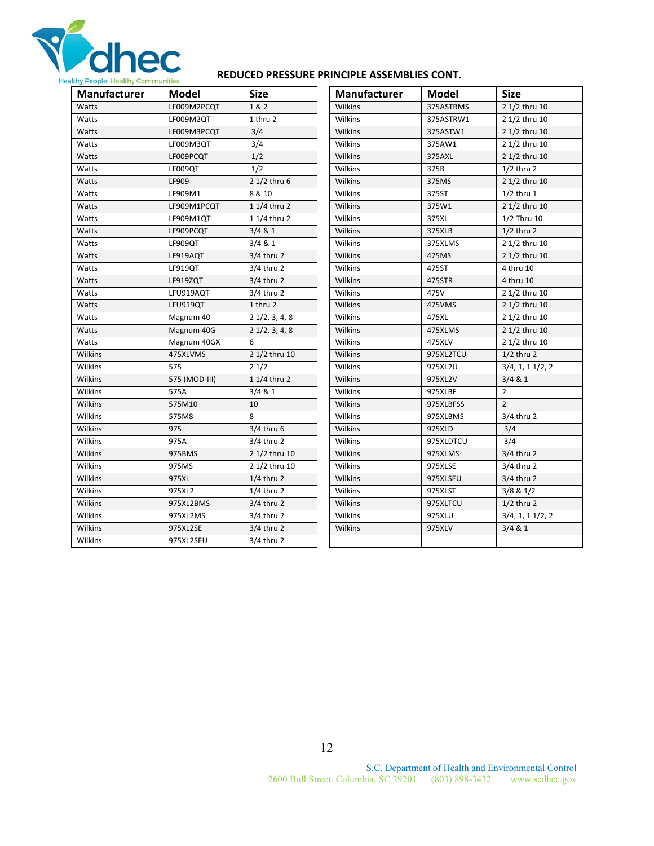

#### **REDUCED PRESSURE PRINCIPLE ASSEMBLIES CONT.**

| Manufacturer   | <b>Model</b>  | <b>Size</b>              | Manufacturer   | <b>Model</b> | <b>Size</b>     |
|----------------|---------------|--------------------------|----------------|--------------|-----------------|
| Watts          | LF009M2PCQT   | 1 & 2                    | Wilkins        | 375ASTRMS    | 2 1/2 thru 10   |
| Watts          | LF009M2QT     | 1 thru 2                 | Wilkins        | 375ASTRW1    | 2 1/2 thru 10   |
| Watts          | LF009M3PCQT   | 3/4                      | Wilkins        | 375ASTW1     | 2 1/2 thru 10   |
| Watts          | LF009M3QT     | 3/4                      | Wilkins        | 375AW1       | 2 1/2 thru 10   |
| Watts          | LF009PCQT     | 1/2                      | Wilkins        | 375AXL       | 2 1/2 thru 10   |
| Watts          | LF009QT       | 1/2                      | Wilkins        | 375B         | $1/2$ thru 2    |
| Watts          | LF909         | 2 1/2 thru 6             | Wilkins        | 375MS        | 2 1/2 thru 10   |
| Watts          | LF909M1       | 8 & 10                   | Wilkins        | 375ST        | $1/2$ thru $1$  |
| Watts          | LF909M1PCQT   | 1 1/4 thru 2             | Wilkins        | 375W1        | 2 1/2 thru 10   |
| Watts          | LF909M1QT     | 1 1/4 thru 2             | Wilkins        | 375XL        | 1/2 Thru 10     |
| Watts          | LF909PCQT     | 3/4 & 1                  | Wilkins        | 375XLB       | $1/2$ thru 2    |
| Watts          | LF909QT       | 3/4 & 1                  | Wilkins        | 375XLMS      | 2 1/2 thru 10   |
| Watts          | LF919AQT      | $3/4$ thru 2             | Wilkins        | 475MS        | 2 1/2 thru 10   |
| Watts          | LF919QT       | $3/4$ thru 2             | Wilkins        | 475ST        | 4 thru 10       |
| Watts          | LF919ZQT      | $3/4$ thru 2             | Wilkins        | 475STR       | 4 thru 10       |
| Watts          | LFU919AQT     | $3/4$ thru 2             | Wilkins        | 475V         | 2 1/2 thru 10   |
| Watts          | LFU919QT      | 1 thru 2                 | Wilkins        | 475VMS       | 2 1/2 thru 10   |
| Watts          | Magnum 40     | $2\frac{1}{2}$ , 3, 4, 8 | Wilkins        | 475XL        | 2 1/2 thru 10   |
| Watts          | Magnum 40G    | $2\frac{1}{2}$ , 3, 4, 8 | Wilkins        | 475XLMS      | 2 1/2 thru 10   |
| Watts          | Magnum 40GX   | 6                        | Wilkins        | 475XLV       | 2 1/2 thru 10   |
| Wilkins        | 475XLVMS      | 2 1/2 thru 10            | Wilkins        | 975XL2TCU    | $1/2$ thru 2    |
| Wilkins        | 575           | 21/2                     | Wilkins        | 975XL2U      | 3/4, 1, 11/2, 2 |
| Wilkins        | 575 (MOD-III) | 1 1/4 thru 2             | Wilkins        | 975XL2V      | 3/4 & 1         |
| Wilkins        | 575A          | 3/4 & 1                  | <b>Wilkins</b> | 975XLBF      | $\overline{2}$  |
| Wilkins        | 575M10        | 10                       | <b>Wilkins</b> | 975XLBFSS    | $\overline{2}$  |
| Wilkins        | 575M8         | 8                        | Wilkins        | 975XLBMS     | $3/4$ thru 2    |
| Wilkins        | 975           | $3/4$ thru 6             | Wilkins        | 975XLD       | 3/4             |
| Wilkins        | 975A          | $3/4$ thru 2             | Wilkins        | 975XLDTCU    | 3/4             |
| Wilkins        | 975BMS        | 2 1/2 thru 10            | Wilkins        | 975XLMS      | $3/4$ thru 2    |
| Wilkins        | 975MS         | 2 1/2 thru 10            | Wilkins        | 975XLSE      | $3/4$ thru 2    |
| <b>Wilkins</b> | 975XL         | $1/4$ thru 2             | Wilkins        | 975XLSEU     | $3/4$ thru 2    |
| Wilkins        | 975XL2        | $1/4$ thru 2             | Wilkins        | 975XLST      | $3/8$ & $1/2$   |
| Wilkins        | 975XL2BMS     | $3/4$ thru 2             | Wilkins        | 975XLTCU     | $1/2$ thru 2    |
| Wilkins        | 975XL2MS      | $3/4$ thru 2             | Wilkins        | 975XLU       | 3/4, 1, 11/2, 2 |
| Wilkins        | 975XL2SE      | $3/4$ thru 2             | Wilkins        | 975XLV       | 3/4 & 1         |
| Wilkins        | 975XL2SEU     | $3/4$ thru 2             |                |              |                 |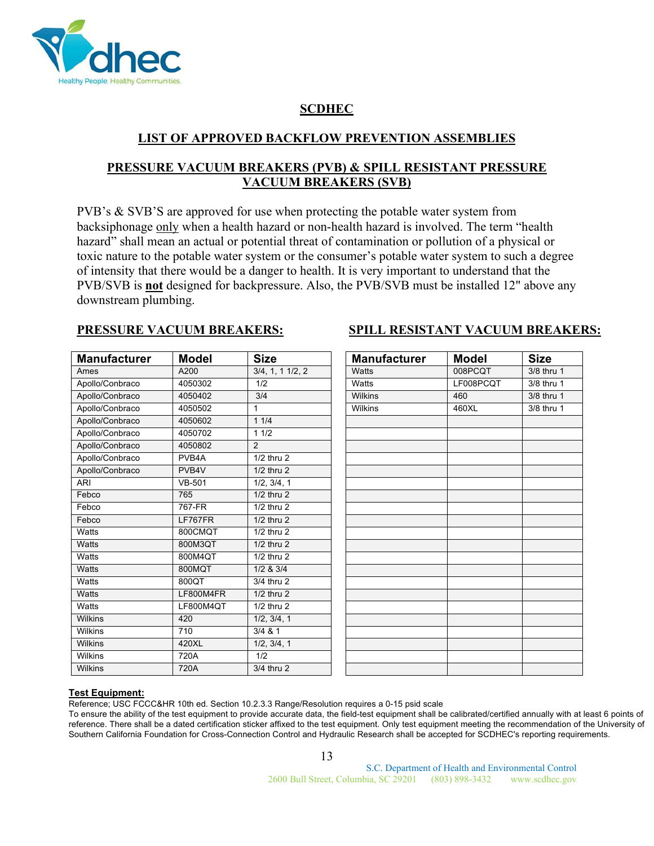

## **SCDHEC**

## **LIST OF APPROVED BACKFLOW PREVENTION ASSEMBLIES**

## **PRESSURE VACUUM BREAKERS (PVB) & SPILL RESISTANT PRESSURE VACUUM BREAKERS (SVB)**

PVB's & SVB'S are approved for use when protecting the potable water system from backsiphonage only when a health hazard or non-health hazard is involved. The term "health hazard" shall mean an actual or potential threat of contamination or pollution of a physical or toxic nature to the potable water system or the consumer's potable water system to such a degree of intensity that there would be a danger to health. It is very important to understand that the PVB/SVB is **not** designed for backpressure. Also, the PVB/SVB must be installed 12" above any downstream plumbing.

| <b>Manufacturer</b> | <b>Model</b>  | <b>Size</b>     | <b>Manufacturer</b> | <b>Model</b> | <b>Size</b> |
|---------------------|---------------|-----------------|---------------------|--------------|-------------|
| Ames                | A200          | 3/4, 1, 11/2, 2 | <b>Watts</b>        | 008PCQT      | 3/8 thru 1  |
| Apollo/Conbraco     | 4050302       | 1/2             | Watts               | LF008PCOT    | 3/8 thru 1  |
| Apollo/Conbraco     | 4050402       | 3/4             | Wilkins             | 460          | 3/8 thru 1  |
| Apollo/Conbraco     | 4050502       | $\mathbf{1}$    | Wilkins             | 460XL        | 3/8 thru 1  |
| Apollo/Conbraco     | 4050602       | 11/4            |                     |              |             |
| Apollo/Conbraco     | 4050702       | 11/2            |                     |              |             |
| Apollo/Conbraco     | 4050802       | $\mathfrak{p}$  |                     |              |             |
| Apollo/Conbraco     | PVB4A         | $1/2$ thru $2$  |                     |              |             |
| Apollo/Conbraco     | PVB4V         | $1/2$ thru $2$  |                     |              |             |
| <b>ARI</b>          | <b>VB-501</b> | 1/2, 3/4, 1     |                     |              |             |
| Febco               | 765           | $1/2$ thru $2$  |                     |              |             |
| Febco               | 767-FR        | $1/2$ thru $2$  |                     |              |             |
| Febco               | LF767FR       | $1/2$ thru $2$  |                     |              |             |
| Watts               | 800CMQT       | $1/2$ thru $2$  |                     |              |             |
| Watts               | 800M3QT       | $1/2$ thru $2$  |                     |              |             |
| Watts               | 800M4QT       | $1/2$ thru $2$  |                     |              |             |
| <b>Watts</b>        | 800MQT        | 1/2 & 3/4       |                     |              |             |
| Watts               | 800QT         | 3/4 thru 2      |                     |              |             |
| Watts               | LF800M4FR     | 1/2 thru 2      |                     |              |             |
| Watts               | LF800M4QT     | $1/2$ thru $2$  |                     |              |             |
| Wilkins             | 420           | 1/2, 3/4, 1     |                     |              |             |
| Wilkins             | 710           | $3/4$ & 1       |                     |              |             |
| Wilkins             | 420XL         | 1/2, 3/4, 1     |                     |              |             |
| Wilkins             | 720A          | 1/2             |                     |              |             |
| Wilkins             | 720A          | 3/4 thru 2      |                     |              |             |

## **SPILL RESISTANT VACUUM BREAKERS:**

| <b>Manufacturer</b> | <b>Model</b> | <b>Size</b> |
|---------------------|--------------|-------------|
| Watts               | 008PCQT      | 3/8 thru 1  |
| Watts               | LF008PCQT    | 3/8 thru 1  |
| Wilkins             | 460          | 3/8 thru 1  |
| Wilkins             | 460XL        | 3/8 thru 1  |
|                     |              |             |
|                     |              |             |
|                     |              |             |
|                     |              |             |
|                     |              |             |
|                     |              |             |
|                     |              |             |
|                     |              |             |
|                     |              |             |
|                     |              |             |
|                     |              |             |
|                     |              |             |
|                     |              |             |
|                     |              |             |
|                     |              |             |
|                     |              |             |
|                     |              |             |
|                     |              |             |
|                     |              |             |
|                     |              |             |
|                     |              |             |

#### **Test Equipment:**

Reference; USC FCCC&HR 10th ed. Section 10.2.3.3 Range/Resolution requires a 0-15 psid scale

To ensure the ability of the test equipment to provide accurate data, the field-test equipment shall be calibrated/certified annually with at least 6 points of reference. There shall be a dated certification sticker affixed to the test equipment. Only test equipment meeting the recommendation of the University of Southern California Foundation for Cross-Connection Control and Hydraulic Research shall be accepted for SCDHEC's reporting requirements.

13